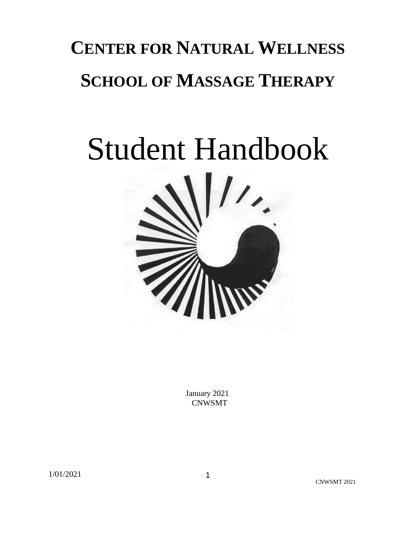## **CENTER FOR NATURAL WELLNESS SCHOOL OF MASSAGE THERAPY**

# Student Handbook



 January 2021 CNWSMT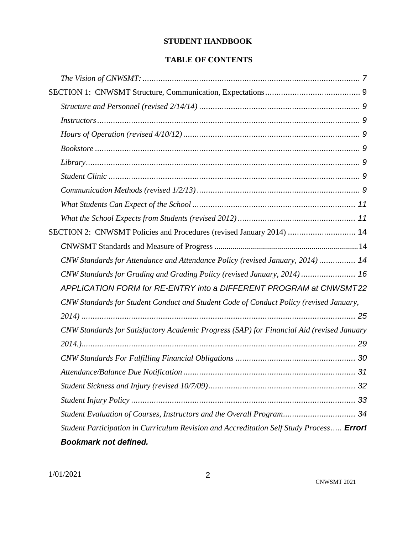#### **STUDENT HANDBOOK**

#### **TABLE OF CONTENTS**

| SECTION 2: CNWSMT Policies and Procedures (revised January 2014)  14                            |
|-------------------------------------------------------------------------------------------------|
|                                                                                                 |
| CNW Standards for Attendance and Attendance Policy (revised January, 2014)  14                  |
| CNW Standards for Grading and Grading Policy (revised January, 2014)  16                        |
| APPLICATION FORM for RE-ENTRY into a DIFFERENT PROGRAM at CNWSMT22                              |
| CNW Standards for Student Conduct and Student Code of Conduct Policy (revised January,          |
|                                                                                                 |
| CNW Standards for Satisfactory Academic Progress (SAP) for Financial Aid (revised January       |
|                                                                                                 |
|                                                                                                 |
|                                                                                                 |
|                                                                                                 |
|                                                                                                 |
| Student Evaluation of Courses, Instructors and the Overall Program 34                           |
| Student Participation in Curriculum Revision and Accreditation Self Study Process <b>Error!</b> |
| <b>Bookmark not defined.</b>                                                                    |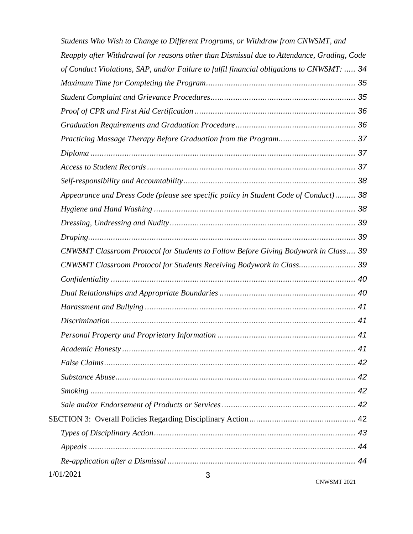|           | Students Who Wish to Change to Different Programs, or Withdraw from CNWSMT, and            |  |
|-----------|--------------------------------------------------------------------------------------------|--|
|           | Reapply after Withdrawal for reasons other than Dismissal due to Attendance, Grading, Code |  |
|           | of Conduct Violations, SAP, and/or Failure to fulfil financial obligations to CNWSMT:  34  |  |
|           |                                                                                            |  |
|           |                                                                                            |  |
|           |                                                                                            |  |
|           |                                                                                            |  |
|           |                                                                                            |  |
|           |                                                                                            |  |
|           |                                                                                            |  |
|           |                                                                                            |  |
|           | Appearance and Dress Code (please see specific policy in Student Code of Conduct)  38      |  |
|           |                                                                                            |  |
|           |                                                                                            |  |
|           |                                                                                            |  |
|           | CNWSMT Classroom Protocol for Students to Follow Before Giving Bodywork in Class 39        |  |
|           | CNWSMT Classroom Protocol for Students Receiving Bodywork in Class 39                      |  |
|           |                                                                                            |  |
|           |                                                                                            |  |
|           |                                                                                            |  |
|           |                                                                                            |  |
|           |                                                                                            |  |
|           |                                                                                            |  |
|           |                                                                                            |  |
|           |                                                                                            |  |
|           |                                                                                            |  |
|           |                                                                                            |  |
|           |                                                                                            |  |
|           |                                                                                            |  |
|           |                                                                                            |  |
|           |                                                                                            |  |
| 1/01/2021 | 3                                                                                          |  |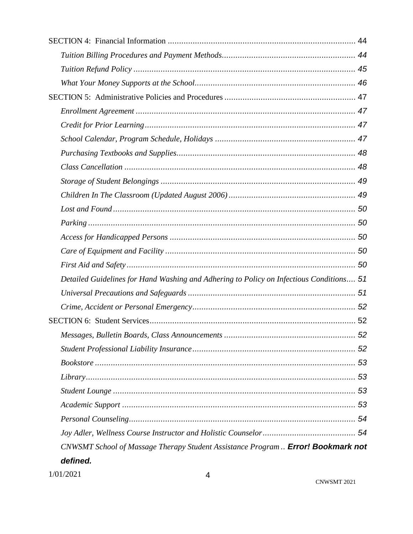| Detailed Guidelines for Hand Washing and Adhering to Policy on Infectious Conditions 51 |  |
|-----------------------------------------------------------------------------------------|--|
|                                                                                         |  |
|                                                                                         |  |
|                                                                                         |  |
|                                                                                         |  |
|                                                                                         |  |
|                                                                                         |  |
|                                                                                         |  |
|                                                                                         |  |
|                                                                                         |  |
|                                                                                         |  |
|                                                                                         |  |
| CNWSMT School of Massage Therapy Student Assistance Program  Error! Bookmark not        |  |
| defined.                                                                                |  |
|                                                                                         |  |

 $1/01/2021$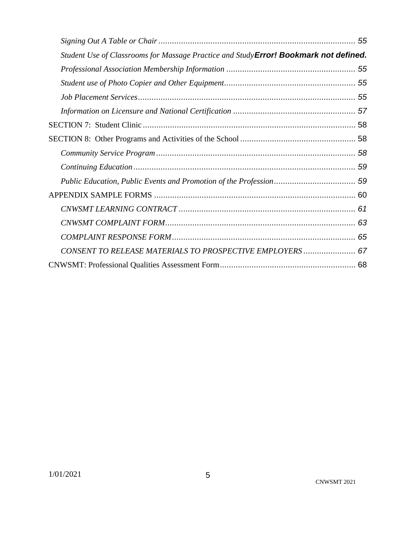| Student Use of Classrooms for Massage Practice and Study Error! Bookmark not defined. |  |
|---------------------------------------------------------------------------------------|--|
|                                                                                       |  |
|                                                                                       |  |
|                                                                                       |  |
|                                                                                       |  |
|                                                                                       |  |
|                                                                                       |  |
|                                                                                       |  |
|                                                                                       |  |
|                                                                                       |  |
|                                                                                       |  |
|                                                                                       |  |
|                                                                                       |  |
|                                                                                       |  |
| CONSENT TO RELEASE MATERIALS TO PROSPECTIVE EMPLOYERS  67                             |  |
|                                                                                       |  |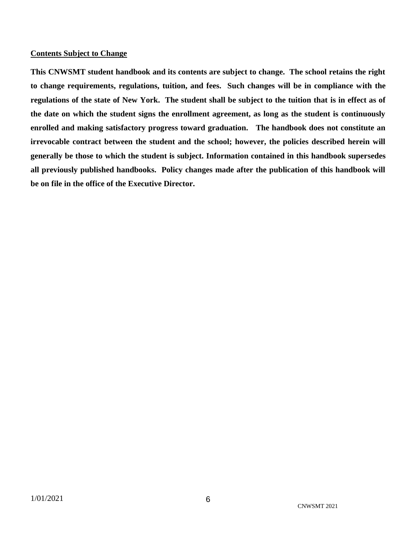#### **Contents Subject to Change**

**This CNWSMT student handbook and its contents are subject to change. The school retains the right to change requirements, regulations, tuition, and fees. Such changes will be in compliance with the regulations of the state of New York. The student shall be subject to the tuition that is in effect as of the date on which the student signs the enrollment agreement, as long as the student is continuously enrolled and making satisfactory progress toward graduation. The handbook does not constitute an irrevocable contract between the student and the school; however, the policies described herein will generally be those to which the student is subject. Information contained in this handbook supersedes all previously published handbooks. Policy changes made after the publication of this handbook will be on file in the office of the Executive Director.**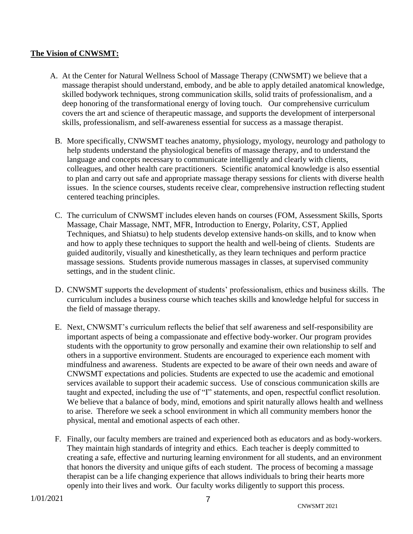#### <span id="page-6-0"></span>**The Vision of CNWSMT:**

- A. At the Center for Natural Wellness School of Massage Therapy (CNWSMT) we believe that a massage therapist should understand, embody, and be able to apply detailed anatomical knowledge, skilled bodywork techniques, strong communication skills, solid traits of professionalism, and a deep honoring of the transformational energy of loving touch. Our comprehensive curriculum covers the art and science of therapeutic massage, and supports the development of interpersonal skills, professionalism, and self-awareness essential for success as a massage therapist.
	- B. More specifically, CNWSMT teaches anatomy, physiology, myology, neurology and pathology to help students understand the physiological benefits of massage therapy, and to understand the language and concepts necessary to communicate intelligently and clearly with clients, colleagues, and other health care practitioners. Scientific anatomical knowledge is also essential to plan and carry out safe and appropriate massage therapy sessions for clients with diverse health issues. In the science courses, students receive clear, comprehensive instruction reflecting student centered teaching principles.
	- C. The curriculum of CNWSMT includes eleven hands on courses (FOM, Assessment Skills, Sports Massage, Chair Massage, NMT, MFR, Introduction to Energy, Polarity, CST, Applied Techniques, and Shiatsu) to help students develop extensive hands-on skills, and to know when and how to apply these techniques to support the health and well-being of clients. Students are guided auditorily, visually and kinesthetically, as they learn techniques and perform practice massage sessions. Students provide numerous massages in classes, at supervised community settings, and in the student clinic.
	- D. CNWSMT supports the development of students' professionalism, ethics and business skills. The curriculum includes a business course which teaches skills and knowledge helpful for success in the field of massage therapy.
	- E. Next, CNWSMT's curriculum reflects the belief that self awareness and self-responsibility are important aspects of being a compassionate and effective body-worker. Our program provides students with the opportunity to grow personally and examine their own relationship to self and others in a supportive environment. Students are encouraged to experience each moment with mindfulness and awareness. Students are expected to be aware of their own needs and aware of CNWSMT expectations and policies. Students are expected to use the academic and emotional services available to support their academic success. Use of conscious communication skills are taught and expected, including the use of "I" statements, and open, respectful conflict resolution. We believe that a balance of body, mind, emotions and spirit naturally allows health and wellness to arise. Therefore we seek a school environment in which all community members honor the physical, mental and emotional aspects of each other.
	- F. Finally, our faculty members are trained and experienced both as educators and as body-workers. They maintain high standards of integrity and ethics. Each teacher is deeply committed to creating a safe, effective and nurturing learning environment for all students, and an environment that honors the diversity and unique gifts of each student. The process of becoming a massage therapist can be a life changing experience that allows individuals to bring their hearts more openly into their lives and work. Our faculty works diligently to support this process.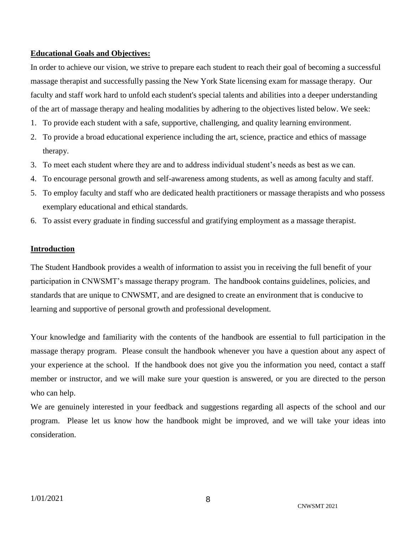#### **Educational Goals and Objectives:**

In order to achieve our vision, we strive to prepare each student to reach their goal of becoming a successful massage therapist and successfully passing the New York State licensing exam for massage therapy. Our faculty and staff work hard to unfold each student's special talents and abilities into a deeper understanding of the art of massage therapy and healing modalities by adhering to the objectives listed below. We seek:

- 1. To provide each student with a safe, supportive, challenging, and quality learning environment.
- 2. To provide a broad educational experience including the art, science, practice and ethics of massage therapy.
- 3. To meet each student where they are and to address individual student's needs as best as we can.
- 4. To encourage personal growth and self-awareness among students, as well as among faculty and staff.
- 5. To employ faculty and staff who are dedicated health practitioners or massage therapists and who possess exemplary educational and ethical standards.
- 6. To assist every graduate in finding successful and gratifying employment as a massage therapist.

#### **Introduction**

The Student Handbook provides a wealth of information to assist you in receiving the full benefit of your participation in CNWSMT's massage therapy program. The handbook contains guidelines, policies, and standards that are unique to CNWSMT, and are designed to create an environment that is conducive to learning and supportive of personal growth and professional development.

Your knowledge and familiarity with the contents of the handbook are essential to full participation in the massage therapy program. Please consult the handbook whenever you have a question about any aspect of your experience at the school. If the handbook does not give you the information you need, contact a staff member or instructor, and we will make sure your question is answered, or you are directed to the person who can help.

We are genuinely interested in your feedback and suggestions regarding all aspects of the school and our program. Please let us know how the handbook might be improved, and we will take your ideas into consideration.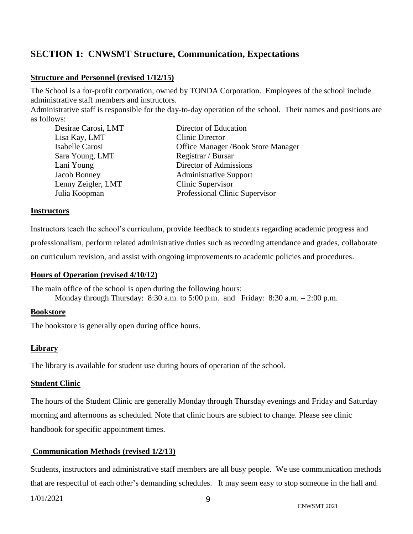## <span id="page-8-0"></span>**SECTION 1: CNWSMT Structure, Communication, Expectations**

#### <span id="page-8-1"></span>**Structure and Personnel (revised 1/12/15)**

The School is a for-profit corporation, owned by TONDA Corporation. Employees of the school include administrative staff members and instructors.

Administrative staff is responsible for the day-to-day operation of the school. Their names and positions are as follows:

| Director of Education                     |
|-------------------------------------------|
| <b>Clinic Director</b>                    |
| <b>Office Manager /Book Store Manager</b> |
| Registrar / Bursar                        |
| Director of Admissions                    |
| <b>Administrative Support</b>             |
| Clinic Supervisor                         |
| Professional Clinic Supervisor            |
|                                           |

#### <span id="page-8-2"></span>**Instructors**

Instructors teach the school's curriculum, provide feedback to students regarding academic progress and professionalism, perform related administrative duties such as recording attendance and grades, collaborate on curriculum revision, and assist with ongoing improvements to academic policies and procedures.

#### <span id="page-8-3"></span>**Hours of Operation (revised 4/10/12)**

The main office of the school is open during the following hours: Monday through Thursday:  $8:30$  a.m. to  $5:00$  p.m. and Friday:  $8:30$  a.m.  $-2:00$  p.m.

#### <span id="page-8-4"></span>**Bookstore**

The bookstore is generally open during office hours.

#### <span id="page-8-5"></span>**Library**

The library is available for student use during hours of operation of the school.

#### <span id="page-8-6"></span>**Student Clinic**

The hours of the Student Clinic are generally Monday through Thursday evenings and Friday and Saturday morning and afternoons as scheduled. Note that clinic hours are subject to change. Please see clinic handbook for specific appointment times.

#### <span id="page-8-7"></span>**Communication Methods (revised 1/2/13)**

Students, instructors and administrative staff members are all busy people. We use communication methods that are respectful of each other's demanding schedules. It may seem easy to stop someone in the hall and

1/01/2021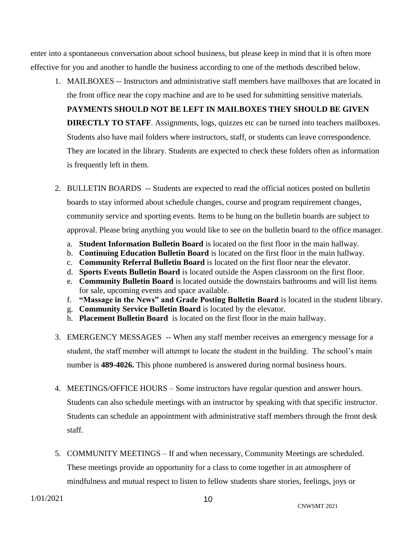enter into a spontaneous conversation about school business, but please keep in mind that it is often more effective for you and another to handle the business according to one of the methods described below.

1. MAILBOXES -- Instructors and administrative staff members have mailboxes that are located in the front office near the copy machine and are to be used for submitting sensitive materials.

**PAYMENTS SHOULD NOT BE LEFT IN MAILBOXES THEY SHOULD BE GIVEN DIRECTLY TO STAFF.** Assignments, logs, quizzes etc can be turned into teachers mailboxes. Students also have mail folders where instructors, staff, or students can leave correspondence. They are located in the library. Students are expected to check these folders often as information is frequently left in them.

- 2. BULLETIN BOARDS -- Students are expected to read the official notices posted on bulletin boards to stay informed about schedule changes, course and program requirement changes, community service and sporting events. Items to be hung on the bulletin boards are subject to approval. Please bring anything you would like to see on the bulletin board to the office manager.
	- a. **Student Information Bulletin Board** is located on the first floor in the main hallway.
	- b. **Continuing Education Bulletin Board** is located on the first floor in the main hallway.
	- c. **Community Referral Bulletin Board** is located on the first floor near the elevator.
	- d. **Sports Events Bulletin Board** is located outside the Aspen classroom on the first floor.
	- e. **Community Bulletin Board** is located outside the downstairs bathrooms and will list items for sale, upcoming events and space available.
	- f. **"Massage in the News" and Grade Posting Bulletin Board** is located in the student library.
	- g. **Community Service Bulletin Board** is located by the elevator.
	- h. **Placement Bulletin Board** is located on the first floor in the main hallway.
- 3. EMERGENCY MESSAGES -- When any staff member receives an emergency message for a student, the staff member will attempt to locate the student in the building. The school's main number is **489-4026.** This phone numbered is answered during normal business hours.
- 4. MEETINGS/OFFICE HOURS Some instructors have regular question and answer hours. Students can also schedule meetings with an instructor by speaking with that specific instructor. Students can schedule an appointment with administrative staff members through the front desk staff.
- 5. COMMUNITY MEETINGS If and when necessary, Community Meetings are scheduled. These meetings provide an opportunity for a class to come together in an atmosphere of mindfulness and mutual respect to listen to fellow students share stories, feelings, joys or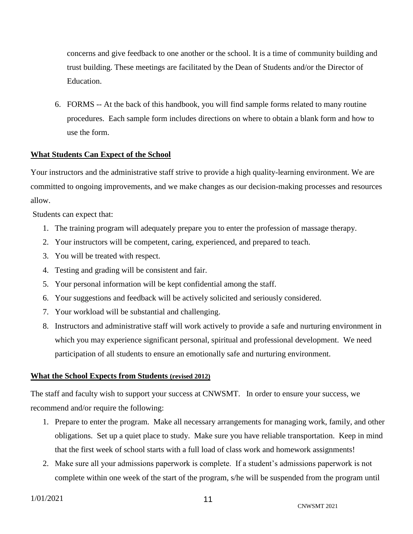concerns and give feedback to one another or the school. It is a time of community building and trust building. These meetings are facilitated by the Dean of Students and/or the Director of Education.

6. FORMS -- At the back of this handbook, you will find sample forms related to many routine procedures. Each sample form includes directions on where to obtain a blank form and how to use the form.

#### <span id="page-10-0"></span>**What Students Can Expect of the School**

Your instructors and the administrative staff strive to provide a high quality-learning environment. We are committed to ongoing improvements, and we make changes as our decision-making processes and resources allow.

Students can expect that:

- 1. The training program will adequately prepare you to enter the profession of massage therapy.
- 2. Your instructors will be competent, caring, experienced, and prepared to teach.
- 3. You will be treated with respect.
- 4. Testing and grading will be consistent and fair.
- 5. Your personal information will be kept confidential among the staff.
- 6. Your suggestions and feedback will be actively solicited and seriously considered.
- 7. Your workload will be substantial and challenging.
- 8. Instructors and administrative staff will work actively to provide a safe and nurturing environment in which you may experience significant personal, spiritual and professional development. We need participation of all students to ensure an emotionally safe and nurturing environment.

#### <span id="page-10-1"></span>**What the School Expects from Students (revised 2012)**

The staff and faculty wish to support your success at CNWSMT. In order to ensure your success, we recommend and/or require the following:

- 1. Prepare to enter the program. Make all necessary arrangements for managing work, family, and other obligations. Set up a quiet place to study. Make sure you have reliable transportation. Keep in mind that the first week of school starts with a full load of class work and homework assignments!
- 2. Make sure all your admissions paperwork is complete. If a student's admissions paperwork is not complete within one week of the start of the program, s/he will be suspended from the program until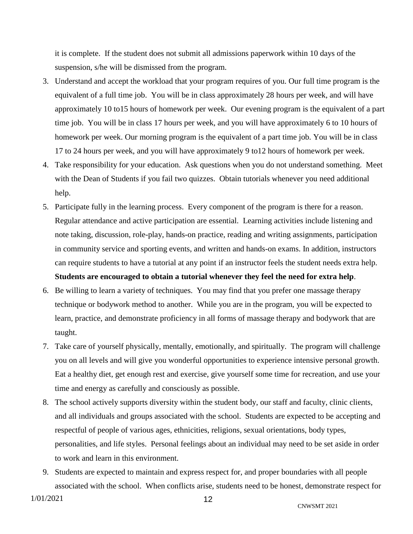it is complete. If the student does not submit all admissions paperwork within 10 days of the suspension, s/he will be dismissed from the program.

- 3. Understand and accept the workload that your program requires of you. Our full time program is the equivalent of a full time job. You will be in class approximately 28 hours per week, and will have approximately 10 to15 hours of homework per week. Our evening program is the equivalent of a part time job. You will be in class 17 hours per week, and you will have approximately 6 to 10 hours of homework per week. Our morning program is the equivalent of a part time job. You will be in class 17 to 24 hours per week, and you will have approximately 9 to12 hours of homework per week.
- 4. Take responsibility for your education. Ask questions when you do not understand something. Meet with the Dean of Students if you fail two quizzes. Obtain tutorials whenever you need additional help.
- 5. Participate fully in the learning process. Every component of the program is there for a reason. Regular attendance and active participation are essential. Learning activities include listening and note taking, discussion, role-play, hands-on practice, reading and writing assignments, participation in community service and sporting events, and written and hands-on exams. In addition, instructors can require students to have a tutorial at any point if an instructor feels the student needs extra help. **Students are encouraged to obtain a tutorial whenever they feel the need for extra help**.
- 6. Be willing to learn a variety of techniques. You may find that you prefer one massage therapy technique or bodywork method to another. While you are in the program, you will be expected to learn, practice, and demonstrate proficiency in all forms of massage therapy and bodywork that are taught.
- 7. Take care of yourself physically, mentally, emotionally, and spiritually. The program will challenge you on all levels and will give you wonderful opportunities to experience intensive personal growth. Eat a healthy diet, get enough rest and exercise, give yourself some time for recreation, and use your time and energy as carefully and consciously as possible.
- 8. The school actively supports diversity within the student body, our staff and faculty, clinic clients, and all individuals and groups associated with the school. Students are expected to be accepting and respectful of people of various ages, ethnicities, religions, sexual orientations, body types, personalities, and life styles. Personal feelings about an individual may need to be set aside in order to work and learn in this environment.
- 9. Students are expected to maintain and express respect for, and proper boundaries with all people associated with the school. When conflicts arise, students need to be honest, demonstrate respect for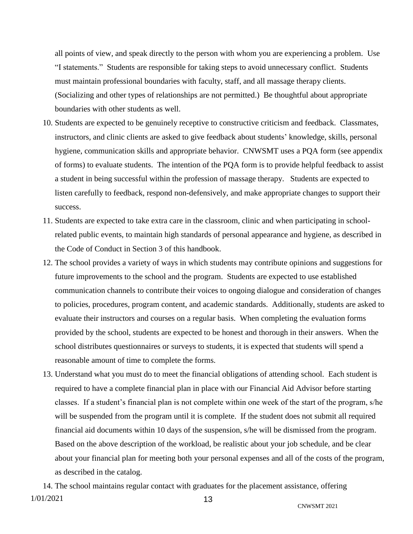all points of view, and speak directly to the person with whom you are experiencing a problem. Use "I statements." Students are responsible for taking steps to avoid unnecessary conflict. Students must maintain professional boundaries with faculty, staff, and all massage therapy clients. (Socializing and other types of relationships are not permitted.) Be thoughtful about appropriate boundaries with other students as well.

- 10. Students are expected to be genuinely receptive to constructive criticism and feedback. Classmates, instructors, and clinic clients are asked to give feedback about students' knowledge, skills, personal hygiene, communication skills and appropriate behavior. CNWSMT uses a PQA form (see appendix of forms) to evaluate students. The intention of the PQA form is to provide helpful feedback to assist a student in being successful within the profession of massage therapy. Students are expected to listen carefully to feedback, respond non-defensively, and make appropriate changes to support their success.
- 11. Students are expected to take extra care in the classroom, clinic and when participating in schoolrelated public events, to maintain high standards of personal appearance and hygiene, as described in the Code of Conduct in Section 3 of this handbook.
- 12. The school provides a variety of ways in which students may contribute opinions and suggestions for future improvements to the school and the program. Students are expected to use established communication channels to contribute their voices to ongoing dialogue and consideration of changes to policies, procedures, program content, and academic standards. Additionally, students are asked to evaluate their instructors and courses on a regular basis. When completing the evaluation forms provided by the school, students are expected to be honest and thorough in their answers. When the school distributes questionnaires or surveys to students, it is expected that students will spend a reasonable amount of time to complete the forms.
- 13. Understand what you must do to meet the financial obligations of attending school. Each student is required to have a complete financial plan in place with our Financial Aid Advisor before starting classes. If a student's financial plan is not complete within one week of the start of the program, s/he will be suspended from the program until it is complete. If the student does not submit all required financial aid documents within 10 days of the suspension, s/he will be dismissed from the program. Based on the above description of the workload, be realistic about your job schedule, and be clear about your financial plan for meeting both your personal expenses and all of the costs of the program, as described in the catalog.

1/01/2021 13 14. The school maintains regular contact with graduates for the placement assistance, offering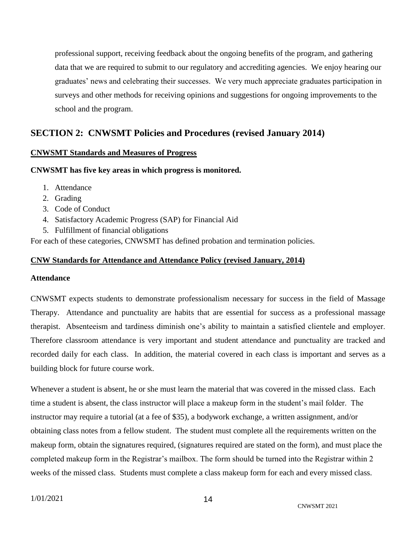professional support, receiving feedback about the ongoing benefits of the program, and gathering data that we are required to submit to our regulatory and accrediting agencies. We enjoy hearing our graduates' news and celebrating their successes. We very much appreciate graduates participation in surveys and other methods for receiving opinions and suggestions for ongoing improvements to the school and the program.

## <span id="page-13-0"></span>**SECTION 2: CNWSMT Policies and Procedures (revised January 2014)**

#### **CNWSMT Standards and Measures of Progress**

#### **CNWSMT has five key areas in which progress is monitored.**

- 1. Attendance
- 2. Grading
- 3. Code of Conduct
- 4. Satisfactory Academic Progress (SAP) for Financial Aid
- 5. Fulfillment of financial obligations

For each of these categories, CNWSMT has defined probation and termination policies.

#### <span id="page-13-1"></span>**CNW Standards for Attendance and Attendance Policy (revised January, 2014)**

#### **Attendance**

CNWSMT expects students to demonstrate professionalism necessary for success in the field of Massage Therapy. Attendance and punctuality are habits that are essential for success as a professional massage therapist. Absenteeism and tardiness diminish one's ability to maintain a satisfied clientele and employer. Therefore classroom attendance is very important and student attendance and punctuality are tracked and recorded daily for each class. In addition, the material covered in each class is important and serves as a building block for future course work.

Whenever a student is absent, he or she must learn the material that was covered in the missed class. Each time a student is absent, the class instructor will place a makeup form in the student's mail folder. The instructor may require a tutorial (at a fee of \$35), a bodywork exchange, a written assignment, and/or obtaining class notes from a fellow student. The student must complete all the requirements written on the makeup form, obtain the signatures required, (signatures required are stated on the form), and must place the completed makeup form in the Registrar's mailbox. The form should be turned into the Registrar within 2 weeks of the missed class. Students must complete a class makeup form for each and every missed class.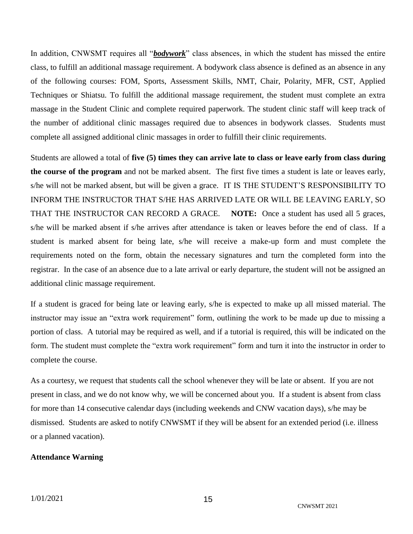In addition, CNWSMT requires all "*bodywork*" class absences, in which the student has missed the entire class, to fulfill an additional massage requirement. A bodywork class absence is defined as an absence in any of the following courses: FOM, Sports, Assessment Skills, NMT, Chair, Polarity, MFR, CST, Applied Techniques or Shiatsu. To fulfill the additional massage requirement, the student must complete an extra massage in the Student Clinic and complete required paperwork. The student clinic staff will keep track of the number of additional clinic massages required due to absences in bodywork classes. Students must complete all assigned additional clinic massages in order to fulfill their clinic requirements.

Students are allowed a total of **five (5) times they can arrive late to class or leave early from class during the course of the program** and not be marked absent. The first five times a student is late or leaves early, s/he will not be marked absent, but will be given a grace. IT IS THE STUDENT'S RESPONSIBILITY TO INFORM THE INSTRUCTOR THAT S/HE HAS ARRIVED LATE OR WILL BE LEAVING EARLY, SO THAT THE INSTRUCTOR CAN RECORD A GRACE. **NOTE:** Once a student has used all 5 graces, s/he will be marked absent if s/he arrives after attendance is taken or leaves before the end of class. If a student is marked absent for being late, s/he will receive a make-up form and must complete the requirements noted on the form, obtain the necessary signatures and turn the completed form into the registrar. In the case of an absence due to a late arrival or early departure, the student will not be assigned an additional clinic massage requirement.

If a student is graced for being late or leaving early, s/he is expected to make up all missed material. The instructor may issue an "extra work requirement" form, outlining the work to be made up due to missing a portion of class. A tutorial may be required as well, and if a tutorial is required, this will be indicated on the form. The student must complete the "extra work requirement" form and turn it into the instructor in order to complete the course.

As a courtesy, we request that students call the school whenever they will be late or absent. If you are not present in class, and we do not know why, we will be concerned about you. If a student is absent from class for more than 14 consecutive calendar days (including weekends and CNW vacation days), s/he may be dismissed. Students are asked to notify CNWSMT if they will be absent for an extended period (i.e. illness or a planned vacation).

#### **Attendance Warning**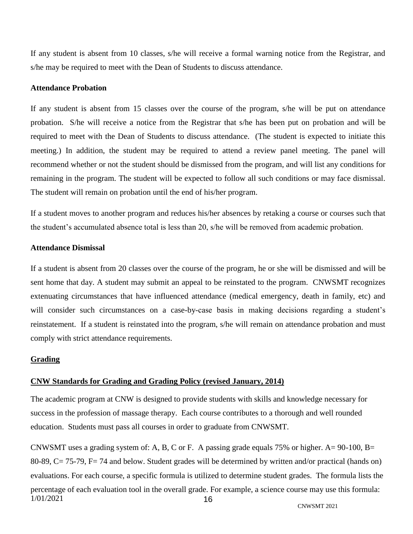If any student is absent from 10 classes, s/he will receive a formal warning notice from the Registrar, and s/he may be required to meet with the Dean of Students to discuss attendance.

#### **Attendance Probation**

If any student is absent from 15 classes over the course of the program, s/he will be put on attendance probation. S/he will receive a notice from the Registrar that s/he has been put on probation and will be required to meet with the Dean of Students to discuss attendance. (The student is expected to initiate this meeting.) In addition, the student may be required to attend a review panel meeting. The panel will recommend whether or not the student should be dismissed from the program, and will list any conditions for remaining in the program. The student will be expected to follow all such conditions or may face dismissal. The student will remain on probation until the end of his/her program.

If a student moves to another program and reduces his/her absences by retaking a course or courses such that the student's accumulated absence total is less than 20, s/he will be removed from academic probation.

#### **Attendance Dismissal**

If a student is absent from 20 classes over the course of the program, he or she will be dismissed and will be sent home that day. A student may submit an appeal to be reinstated to the program. CNWSMT recognizes extenuating circumstances that have influenced attendance (medical emergency, death in family, etc) and will consider such circumstances on a case-by-case basis in making decisions regarding a student's reinstatement. If a student is reinstated into the program, s/he will remain on attendance probation and must comply with strict attendance requirements.

#### **Grading**

#### <span id="page-15-0"></span>**CNW Standards for Grading and Grading Policy (revised January, 2014)**

The academic program at CNW is designed to provide students with skills and knowledge necessary for success in the profession of massage therapy. Each course contributes to a thorough and well rounded education. Students must pass all courses in order to graduate from CNWSMT.

1/01/2021 16 CNWSMT uses a grading system of: A, B, C or F. A passing grade equals 75% or higher. A= 90-100, B= 80-89, C= 75-79, F= 74 and below. Student grades will be determined by written and/or practical (hands on) evaluations. For each course, a specific formula is utilized to determine student grades. The formula lists the percentage of each evaluation tool in the overall grade. For example, a science course may use this formula: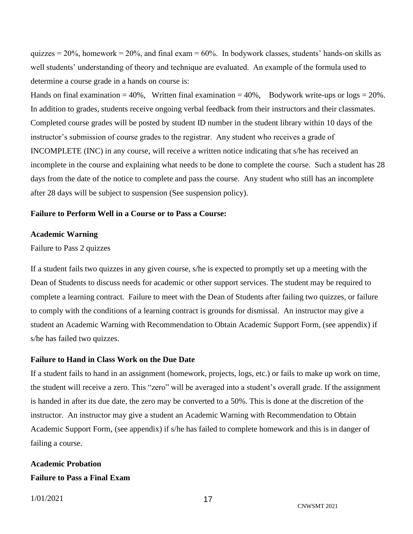quizzes  $= 20\%$ , homework  $= 20\%$ , and final exam  $= 60\%$ . In bodywork classes, students' hands-on skills as well students' understanding of theory and technique are evaluated. An example of the formula used to determine a course grade in a hands on course is:

Hands on final examination  $= 40\%$ , Written final examination  $= 40\%$ , Bodywork write-ups or logs  $= 20\%$ . In addition to grades, students receive ongoing verbal feedback from their instructors and their classmates. Completed course grades will be posted by student ID number in the student library within 10 days of the instructor's submission of course grades to the registrar. Any student who receives a grade of INCOMPLETE (INC) in any course, will receive a written notice indicating that s/he has received an incomplete in the course and explaining what needs to be done to complete the course. Such a student has 28 days from the date of the notice to complete and pass the course. Any student who still has an incomplete after 28 days will be subject to suspension (See suspension policy).

#### **Failure to Perform Well in a Course or to Pass a Course:**

#### **Academic Warning**

Failure to Pass 2 quizzes

If a student fails two quizzes in any given course, s/he is expected to promptly set up a meeting with the Dean of Students to discuss needs for academic or other support services. The student may be required to complete a learning contract. Failure to meet with the Dean of Students after failing two quizzes, or failure to comply with the conditions of a learning contract is grounds for dismissal. An instructor may give a student an Academic Warning with Recommendation to Obtain Academic Support Form, (see appendix) if s/he has failed two quizzes.

#### **Failure to Hand in Class Work on the Due Date**

If a student fails to hand in an assignment (homework, projects, logs, etc.) or fails to make up work on time, the student will receive a zero. This "zero" will be averaged into a student's overall grade. If the assignment is handed in after its due date, the zero may be converted to a 50%. This is done at the discretion of the instructor. An instructor may give a student an Academic Warning with Recommendation to Obtain Academic Support Form, (see appendix) if s/he has failed to complete homework and this is in danger of failing a course.

## **Academic Probation Failure to Pass a Final Exam**

1/01/2021

17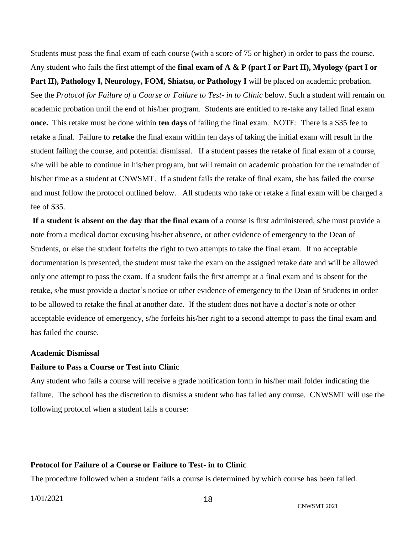Students must pass the final exam of each course (with a score of 75 or higher) in order to pass the course. Any student who fails the first attempt of the **final exam of A & P (part I or Part II), Myology (part I or** 

Part II), Pathology I, Neurology, FOM, Shiatsu, or Pathology I will be placed on academic probation. See the *Protocol for Failure of a Course or Failure to Test- in to Clinic* below. Such a student will remain on academic probation until the end of his/her program. Students are entitled to re-take any failed final exam **once.** This retake must be done within **ten days** of failing the final exam. NOTE: There is a \$35 fee to retake a final. Failure to **retake** the final exam within ten days of taking the initial exam will result in the student failing the course, and potential dismissal. If a student passes the retake of final exam of a course, s/he will be able to continue in his/her program, but will remain on academic probation for the remainder of his/her time as a student at CNWSMT. If a student fails the retake of final exam, she has failed the course and must follow the protocol outlined below. All students who take or retake a final exam will be charged a fee of \$35.

**If a student is absent on the day that the final exam** of a course is first administered, s/he must provide a note from a medical doctor excusing his/her absence, or other evidence of emergency to the Dean of Students, or else the student forfeits the right to two attempts to take the final exam. If no acceptable documentation is presented, the student must take the exam on the assigned retake date and will be allowed only one attempt to pass the exam. If a student fails the first attempt at a final exam and is absent for the retake, s/he must provide a doctor's notice or other evidence of emergency to the Dean of Students in order to be allowed to retake the final at another date. If the student does not have a doctor's note or other acceptable evidence of emergency, s/he forfeits his/her right to a second attempt to pass the final exam and has failed the course.

#### **Academic Dismissal**

#### **Failure to Pass a Course or Test into Clinic**

Any student who fails a course will receive a grade notification form in his/her mail folder indicating the failure. The school has the discretion to dismiss a student who has failed any course. CNWSMT will use the following protocol when a student fails a course:

#### **Protocol for Failure of a Course or Failure to Test- in to Clinic**

The procedure followed when a student fails a course is determined by which course has been failed.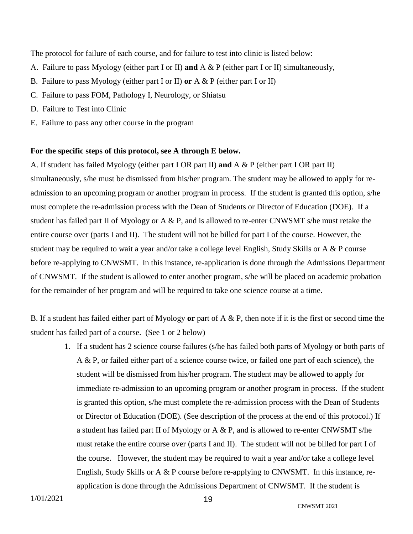The protocol for failure of each course, and for failure to test into clinic is listed below:

- A. Failure to pass Myology (either part I or II) **and** A & P (either part I or II) simultaneously,
- B. Failure to pass Myology (either part I or II) **or** A & P (either part I or II)
- C. Failure to pass FOM, Pathology I, Neurology, or Shiatsu
- D. Failure to Test into Clinic
- E. Failure to pass any other course in the program

#### **For the specific steps of this protocol, see A through E below.**

A. If student has failed Myology (either part I OR part II) **and** A & P (either part I OR part II) simultaneously, s/he must be dismissed from his/her program. The student may be allowed to apply for readmission to an upcoming program or another program in process. If the student is granted this option, s/he must complete the re-admission process with the Dean of Students or Director of Education (DOE). If a student has failed part II of Myology or A & P, and is allowed to re-enter CNWSMT s/he must retake the entire course over (parts I and II). The student will not be billed for part I of the course. However, the student may be required to wait a year and/or take a college level English, Study Skills or A & P course before re-applying to CNWSMT. In this instance, re-application is done through the Admissions Department of CNWSMT. If the student is allowed to enter another program, s/he will be placed on academic probation for the remainder of her program and will be required to take one science course at a time.

B. If a student has failed either part of Myology **or** part of A & P, then note if it is the first or second time the student has failed part of a course. (See 1 or 2 below)

1. If a student has 2 science course failures (s/he has failed both parts of Myology or both parts of A & P, or failed either part of a science course twice, or failed one part of each science), the student will be dismissed from his/her program. The student may be allowed to apply for immediate re-admission to an upcoming program or another program in process. If the student is granted this option, s/he must complete the re-admission process with the Dean of Students or Director of Education (DOE). (See description of the process at the end of this protocol.) If a student has failed part II of Myology or A & P, and is allowed to re-enter CNWSMT s/he must retake the entire course over (parts I and II). The student will not be billed for part I of the course. However, the student may be required to wait a year and/or take a college level English, Study Skills or A & P course before re-applying to CNWSMT. In this instance, reapplication is done through the Admissions Department of CNWSMT. If the student is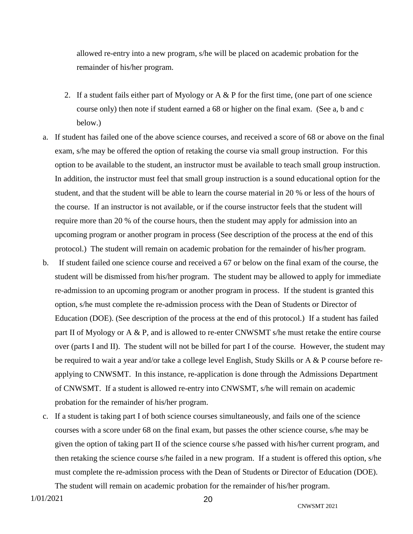allowed re-entry into a new program, s/he will be placed on academic probation for the remainder of his/her program.

- 2. If a student fails either part of Myology or A  $\&$  P for the first time, (one part of one science course only) then note if student earned a 68 or higher on the final exam. (See a, b and c below.)
- a. If student has failed one of the above science courses, and received a score of 68 or above on the final exam, s/he may be offered the option of retaking the course via small group instruction. For this option to be available to the student, an instructor must be available to teach small group instruction. In addition, the instructor must feel that small group instruction is a sound educational option for the student, and that the student will be able to learn the course material in 20 % or less of the hours of the course. If an instructor is not available, or if the course instructor feels that the student will require more than 20 % of the course hours, then the student may apply for admission into an upcoming program or another program in process (See description of the process at the end of this protocol.) The student will remain on academic probation for the remainder of his/her program.
- b. If student failed one science course and received a 67 or below on the final exam of the course, the student will be dismissed from his/her program. The student may be allowed to apply for immediate re-admission to an upcoming program or another program in process. If the student is granted this option, s/he must complete the re-admission process with the Dean of Students or Director of Education (DOE). (See description of the process at the end of this protocol.) If a student has failed part II of Myology or A & P, and is allowed to re-enter CNWSMT s/he must retake the entire course over (parts I and II). The student will not be billed for part I of the course. However, the student may be required to wait a year and/or take a college level English, Study Skills or A & P course before reapplying to CNWSMT. In this instance, re-application is done through the Admissions Department of CNWSMT. If a student is allowed re-entry into CNWSMT, s/he will remain on academic probation for the remainder of his/her program.
- c. If a student is taking part I of both science courses simultaneously, and fails one of the science courses with a score under 68 on the final exam, but passes the other science course, s/he may be given the option of taking part II of the science course s/he passed with his/her current program, and then retaking the science course s/he failed in a new program. If a student is offered this option, s/he must complete the re-admission process with the Dean of Students or Director of Education (DOE).

The student will remain on academic probation for the remainder of his/her program.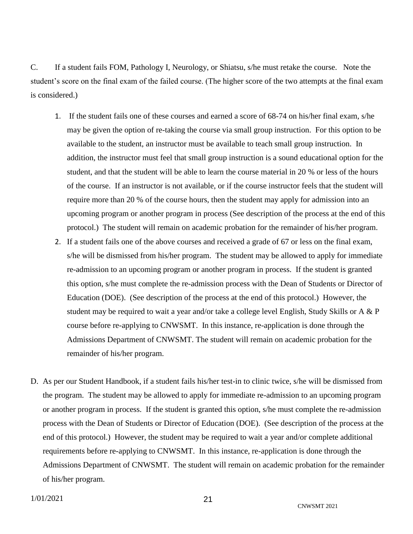C. If a student fails FOM, Pathology I, Neurology, or Shiatsu, s/he must retake the course. Note the student's score on the final exam of the failed course. (The higher score of the two attempts at the final exam is considered.)

- 1. If the student fails one of these courses and earned a score of 68-74 on his/her final exam, s/he may be given the option of re-taking the course via small group instruction. For this option to be available to the student, an instructor must be available to teach small group instruction. In addition, the instructor must feel that small group instruction is a sound educational option for the student, and that the student will be able to learn the course material in 20 % or less of the hours of the course. If an instructor is not available, or if the course instructor feels that the student will require more than 20 % of the course hours, then the student may apply for admission into an upcoming program or another program in process (See description of the process at the end of this protocol.) The student will remain on academic probation for the remainder of his/her program.
- 2. If a student fails one of the above courses and received a grade of 67 or less on the final exam, s/he will be dismissed from his/her program. The student may be allowed to apply for immediate re-admission to an upcoming program or another program in process. If the student is granted this option, s/he must complete the re-admission process with the Dean of Students or Director of Education (DOE). (See description of the process at the end of this protocol.) However, the student may be required to wait a year and/or take a college level English, Study Skills or A & P course before re-applying to CNWSMT. In this instance, re-application is done through the Admissions Department of CNWSMT. The student will remain on academic probation for the remainder of his/her program.
- D. As per our Student Handbook, if a student fails his/her test-in to clinic twice, s/he will be dismissed from the program. The student may be allowed to apply for immediate re-admission to an upcoming program or another program in process. If the student is granted this option, s/he must complete the re-admission process with the Dean of Students or Director of Education (DOE). (See description of the process at the end of this protocol.) However, the student may be required to wait a year and/or complete additional requirements before re-applying to CNWSMT. In this instance, re-application is done through the Admissions Department of CNWSMT. The student will remain on academic probation for the remainder of his/her program.

CNWSMT 2021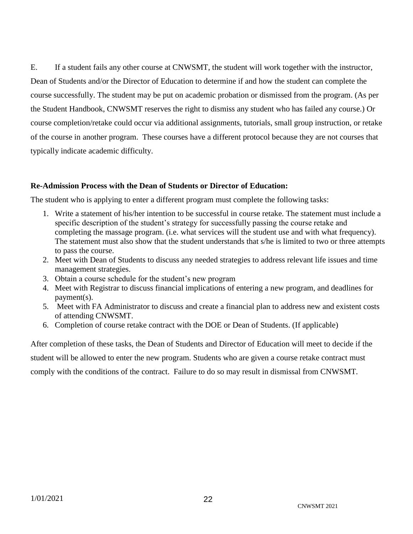E. If a student fails any other course at CNWSMT, the student will work together with the instructor, Dean of Students and/or the Director of Education to determine if and how the student can complete the course successfully. The student may be put on academic probation or dismissed from the program. (As per the Student Handbook, CNWSMT reserves the right to dismiss any student who has failed any course.) Or course completion/retake could occur via additional assignments, tutorials, small group instruction, or retake of the course in another program. These courses have a different protocol because they are not courses that typically indicate academic difficulty.

#### **Re-Admission Process with the Dean of Students or Director of Education:**

The student who is applying to enter a different program must complete the following tasks:

- 1. Write a statement of his/her intention to be successful in course retake. The statement must include a specific description of the student's strategy for successfully passing the course retake and completing the massage program. (i.e. what services will the student use and with what frequency). The statement must also show that the student understands that s/he is limited to two or three attempts to pass the course.
- 2. Meet with Dean of Students to discuss any needed strategies to address relevant life issues and time management strategies.
- 3. Obtain a course schedule for the student's new program
- 4. Meet with Registrar to discuss financial implications of entering a new program, and deadlines for payment(s).
- 5. Meet with FA Administrator to discuss and create a financial plan to address new and existent costs of attending CNWSMT.
- 6. Completion of course retake contract with the DOE or Dean of Students. (If applicable)

<span id="page-21-0"></span>After completion of these tasks, the Dean of Students and Director of Education will meet to decide if the student will be allowed to enter the new program. Students who are given a course retake contract must comply with the conditions of the contract. Failure to do so may result in dismissal from CNWSMT.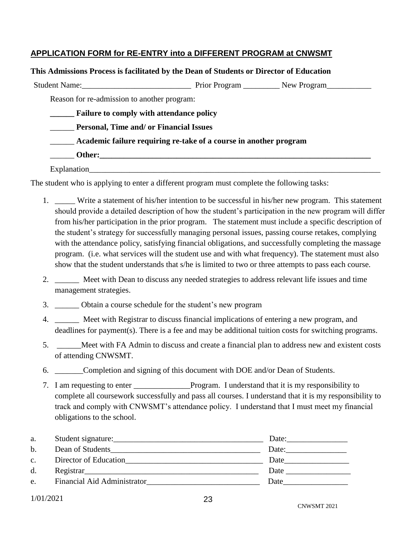#### **APPLICATION FORM for RE-ENTRY into a DIFFERENT PROGRAM at CNWSMT**

| This Admissions Process is facilitated by the Dean of Students or Director of Education |  |  |  |
|-----------------------------------------------------------------------------------------|--|--|--|
|                                                                                         |  |  |  |
| Reason for re-admission to another program:                                             |  |  |  |
| <b>Example 5 Failure to comply with attendance policy</b>                               |  |  |  |
| <b>Personal, Time and/ or Financial Issues</b>                                          |  |  |  |
| Academic failure requiring re-take of a course in another program                       |  |  |  |
|                                                                                         |  |  |  |
| Explanation                                                                             |  |  |  |

The student who is applying to enter a different program must complete the following tasks:

- 1. \_\_\_\_\_ Write a statement of his/her intention to be successful in his/her new program. This statement should provide a detailed description of how the student's participation in the new program will differ from his/her participation in the prior program. The statement must include a specific description of the student's strategy for successfully managing personal issues, passing course retakes, complying with the attendance policy, satisfying financial obligations, and successfully completing the massage program. (i.e. what services will the student use and with what frequency). The statement must also show that the student understands that s/he is limited to two or three attempts to pass each course.
- 2. \_\_\_\_\_\_ Meet with Dean to discuss any needed strategies to address relevant life issues and time management strategies.
- 3. \_\_\_\_\_\_ Obtain a course schedule for the student's new program
- 4. \_\_\_\_\_\_ Meet with Registrar to discuss financial implications of entering a new program, and deadlines for payment(s). There is a fee and may be additional tuition costs for switching programs.
- 5. \_\_\_\_\_\_Meet with FA Admin to discuss and create a financial plan to address new and existent costs of attending CNWSMT.
- 6. \_\_\_\_\_\_\_Completion and signing of this document with DOE and/or Dean of Students.
- 7. I am requesting to enter \_\_\_\_\_\_\_\_\_\_\_\_\_\_Program. I understand that it is my responsibility to complete all coursework successfully and pass all courses. I understand that it is my responsibility to track and comply with CNWSMT's attendance policy. I understand that I must meet my financial obligations to the school.

| a.            |                             | Date: |
|---------------|-----------------------------|-------|
| b.            | Dean of Students            | Date: |
| $C_{\bullet}$ | Director of Education       | Date  |
| d.            |                             | Date  |
| e.            | Financial Aid Administrator | Date  |

1/01/2021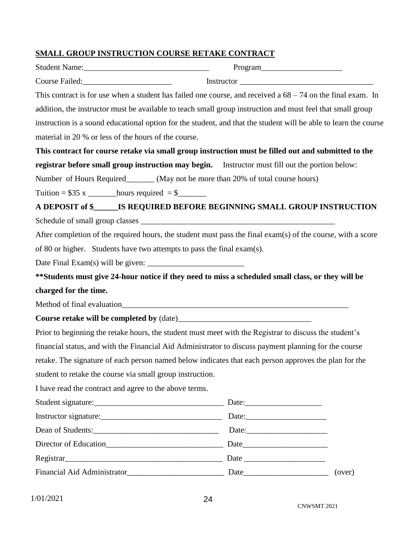## **SMALL GROUP INSTRUCTION COURSE RETAKE CONTRACT**

|                                                                                                                                                                   | Program |        |
|-------------------------------------------------------------------------------------------------------------------------------------------------------------------|---------|--------|
| Instructor                                                                                                                                                        |         |        |
| This contract is for use when a student has failed one course, and received a $68 - 74$ on the final exam. In                                                     |         |        |
| addition, the instructor must be available to teach small group instruction and must feel that small group                                                        |         |        |
| instruction is a sound educational option for the student, and that the student will be able to learn the course                                                  |         |        |
| material in 20 % or less of the hours of the course.                                                                                                              |         |        |
| This contract for course retake via small group instruction must be filled out and submitted to the                                                               |         |        |
| registrar before small group instruction may begin. Instructor must fill out the portion below:                                                                   |         |        |
| Number of Hours Required________ (May not be more than 20% of total course hours)                                                                                 |         |        |
| Tuition = $$35 x$ __________ hours required = $$$                                                                                                                 |         |        |
| A DEPOSIT of \$_______IS REQUIRED BEFORE BEGINNING SMALL GROUP INSTRUCTION                                                                                        |         |        |
|                                                                                                                                                                   |         |        |
| After completion of the required hours, the student must pass the final exam(s) of the course, with a score                                                       |         |        |
| of 80 or higher. Students have two attempts to pass the final exam(s).                                                                                            |         |        |
|                                                                                                                                                                   |         |        |
| ** Students must give 24-hour notice if they need to miss a scheduled small class, or they will be                                                                |         |        |
| charged for the time.                                                                                                                                             |         |        |
|                                                                                                                                                                   |         |        |
|                                                                                                                                                                   |         |        |
| Prior to beginning the retake hours, the student must meet with the Registrar to discuss the student's                                                            |         |        |
| financial status, and with the Financial Aid Administrator to discuss payment planning for the course                                                             |         |        |
| retake. The signature of each person named below indicates that each person approves the plan for the                                                             |         |        |
| student to retake the course via small group instruction.                                                                                                         |         |        |
| I have read the contract and agree to the above terms.                                                                                                            |         |        |
|                                                                                                                                                                   |         |        |
|                                                                                                                                                                   |         |        |
|                                                                                                                                                                   |         |        |
|                                                                                                                                                                   |         |        |
| Registrar <u> Example and Date</u> <b>Date Date Date Date Date Date Date Date Date Date Date Date Date Date Date Date Date Date Date Date Date Date Date Date</b> |         |        |
|                                                                                                                                                                   |         | (over) |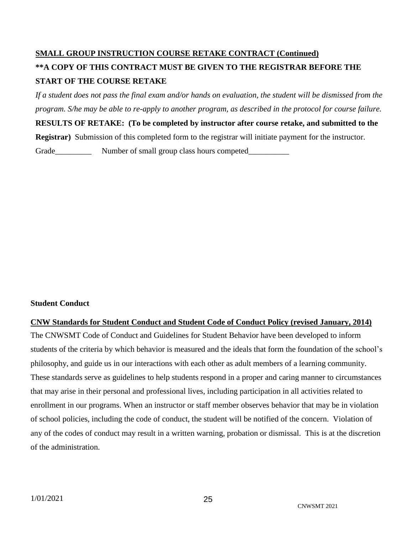## **SMALL GROUP INSTRUCTION COURSE RETAKE CONTRACT (Continued) \*\*A COPY OF THIS CONTRACT MUST BE GIVEN TO THE REGISTRAR BEFORE THE START OF THE COURSE RETAKE**

*If a student does not pass the final exam and/or hands on evaluation, the student will be dismissed from the program. S/he may be able to re-apply to another program, as described in the protocol for course failure.*

**RESULTS OF RETAKE: (To be completed by instructor after course retake, and submitted to the** 

**Registrar)** Submission of this completed form to the registrar will initiate payment for the instructor.

Grade\_\_\_\_\_\_\_\_\_\_\_\_ Number of small group class hours competed\_\_\_\_\_\_\_\_\_\_\_\_\_\_

#### **Student Conduct**

<span id="page-24-0"></span>**CNW Standards for Student Conduct and Student Code of Conduct Policy (revised January, 2014)** The CNWSMT Code of Conduct and Guidelines for Student Behavior have been developed to inform students of the criteria by which behavior is measured and the ideals that form the foundation of the school's philosophy, and guide us in our interactions with each other as adult members of a learning community. These standards serve as guidelines to help students respond in a proper and caring manner to circumstances that may arise in their personal and professional lives, including participation in all activities related to enrollment in our programs. When an instructor or staff member observes behavior that may be in violation of school policies, including the code of conduct, the student will be notified of the concern. Violation of any of the codes of conduct may result in a written warning, probation or dismissal. This is at the discretion of the administration.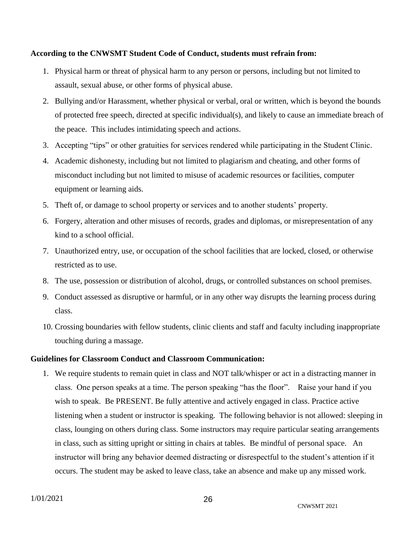#### **According to the CNWSMT Student Code of Conduct, students must refrain from:**

- 1. Physical harm or threat of physical harm to any person or persons, including but not limited to assault, sexual abuse, or other forms of physical abuse.
- 2. Bullying and/or Harassment, whether physical or verbal, oral or written, which is beyond the bounds of protected free speech, directed at specific individual(s), and likely to cause an immediate breach of the peace. This includes intimidating speech and actions.
- 3. Accepting "tips" or other gratuities for services rendered while participating in the Student Clinic.
- 4. Academic dishonesty, including but not limited to plagiarism and cheating, and other forms of misconduct including but not limited to misuse of academic resources or facilities, computer equipment or learning aids.
- 5. Theft of, or damage to school property or services and to another students' property.
- 6. Forgery, alteration and other misuses of records, grades and diplomas, or misrepresentation of any kind to a school official.
- 7. Unauthorized entry, use, or occupation of the school facilities that are locked, closed, or otherwise restricted as to use.
- 8. The use, possession or distribution of alcohol, drugs, or controlled substances on school premises.
- 9. Conduct assessed as disruptive or harmful, or in any other way disrupts the learning process during class.
- 10. Crossing boundaries with fellow students, clinic clients and staff and faculty including inappropriate touching during a massage.

#### **Guidelines for Classroom Conduct and Classroom Communication:**

1. We require students to remain quiet in class and NOT talk/whisper or act in a distracting manner in class. One person speaks at a time. The person speaking "has the floor". Raise your hand if you wish to speak. Be PRESENT. Be fully attentive and actively engaged in class. Practice active listening when a student or instructor is speaking. The following behavior is not allowed: sleeping in class, lounging on others during class. Some instructors may require particular seating arrangements in class, such as sitting upright or sitting in chairs at tables. Be mindful of personal space. An instructor will bring any behavior deemed distracting or disrespectful to the student's attention if it occurs. The student may be asked to leave class, take an absence and make up any missed work.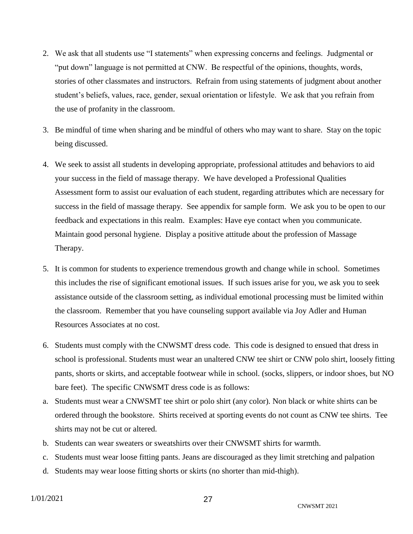- 2. We ask that all students use "I statements" when expressing concerns and feelings. Judgmental or "put down" language is not permitted at CNW. Be respectful of the opinions, thoughts, words, stories of other classmates and instructors. Refrain from using statements of judgment about another student's beliefs, values, race, gender, sexual orientation or lifestyle. We ask that you refrain from the use of profanity in the classroom.
- 3. Be mindful of time when sharing and be mindful of others who may want to share. Stay on the topic being discussed.
- 4. We seek to assist all students in developing appropriate, professional attitudes and behaviors to aid your success in the field of massage therapy. We have developed a Professional Qualities Assessment form to assist our evaluation of each student, regarding attributes which are necessary for success in the field of massage therapy. See appendix for sample form. We ask you to be open to our feedback and expectations in this realm. Examples: Have eye contact when you communicate. Maintain good personal hygiene. Display a positive attitude about the profession of Massage Therapy.
- 5. It is common for students to experience tremendous growth and change while in school. Sometimes this includes the rise of significant emotional issues. If such issues arise for you, we ask you to seek assistance outside of the classroom setting, as individual emotional processing must be limited within the classroom. Remember that you have counseling support available via Joy Adler and Human Resources Associates at no cost.
- 6. Students must comply with the CNWSMT dress code. This code is designed to ensued that dress in school is professional. Students must wear an unaltered CNW tee shirt or CNW polo shirt, loosely fitting pants, shorts or skirts, and acceptable footwear while in school. (socks, slippers, or indoor shoes, but NO bare feet). The specific CNWSMT dress code is as follows:
- a. Students must wear a CNWSMT tee shirt or polo shirt (any color). Non black or white shirts can be ordered through the bookstore. Shirts received at sporting events do not count as CNW tee shirts. Tee shirts may not be cut or altered.
- b. Students can wear sweaters or sweatshirts over their CNWSMT shirts for warmth.
- c. Students must wear loose fitting pants. Jeans are discouraged as they limit stretching and palpation
- d. Students may wear loose fitting shorts or skirts (no shorter than mid-thigh).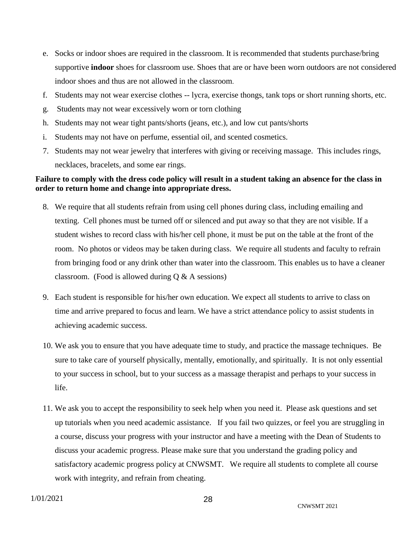- e. Socks or indoor shoes are required in the classroom. It is recommended that students purchase/bring supportive **indoor** shoes for classroom use. Shoes that are or have been worn outdoors are not considered indoor shoes and thus are not allowed in the classroom.
- f. Students may not wear exercise clothes -- lycra, exercise thongs, tank tops or short running shorts, etc.
- g. Students may not wear excessively worn or torn clothing
- h. Students may not wear tight pants/shorts (jeans, etc.), and low cut pants/shorts
- i. Students may not have on perfume, essential oil, and scented cosmetics.
- 7. Students may not wear jewelry that interferes with giving or receiving massage. This includes rings, necklaces, bracelets, and some ear rings.

#### **Failure to comply with the dress code policy will result in a student taking an absence for the class in order to return home and change into appropriate dress.**

- 8. We require that all students refrain from using cell phones during class, including emailing and texting. Cell phones must be turned off or silenced and put away so that they are not visible. If a student wishes to record class with his/her cell phone, it must be put on the table at the front of the room. No photos or videos may be taken during class. We require all students and faculty to refrain from bringing food or any drink other than water into the classroom. This enables us to have a cleaner classroom. (Food is allowed during  $Q & A$  sessions)
- 9. Each student is responsible for his/her own education. We expect all students to arrive to class on time and arrive prepared to focus and learn. We have a strict attendance policy to assist students in achieving academic success.
- 10. We ask you to ensure that you have adequate time to study, and practice the massage techniques. Be sure to take care of yourself physically, mentally, emotionally, and spiritually. It is not only essential to your success in school, but to your success as a massage therapist and perhaps to your success in life.
- 11. We ask you to accept the responsibility to seek help when you need it. Please ask questions and set up tutorials when you need academic assistance. If you fail two quizzes, or feel you are struggling in a course, discuss your progress with your instructor and have a meeting with the Dean of Students to discuss your academic progress. Please make sure that you understand the grading policy and satisfactory academic progress policy at CNWSMT. We require all students to complete all course work with integrity, and refrain from cheating.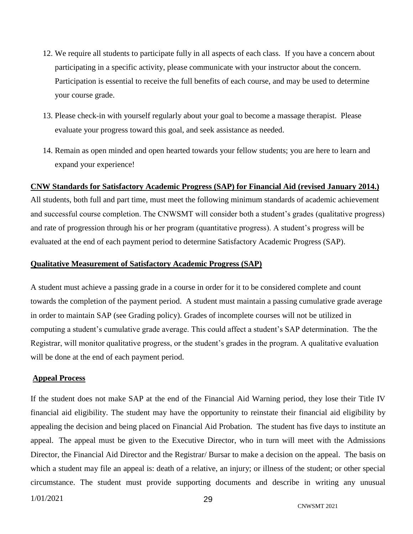- 12. We require all students to participate fully in all aspects of each class. If you have a concern about participating in a specific activity, please communicate with your instructor about the concern. Participation is essential to receive the full benefits of each course, and may be used to determine your course grade.
- 13. Please check-in with yourself regularly about your goal to become a massage therapist. Please evaluate your progress toward this goal, and seek assistance as needed.
- 14. Remain as open minded and open hearted towards your fellow students; you are here to learn and expand your experience!

#### <span id="page-28-0"></span>**CNW Standards for Satisfactory Academic Progress (SAP) for Financial Aid (revised January 2014.)**

All students, both full and part time, must meet the following minimum standards of academic achievement and successful course completion. The CNWSMT will consider both a student's grades (qualitative progress) and rate of progression through his or her program (quantitative progress). A student's progress will be evaluated at the end of each payment period to determine Satisfactory Academic Progress (SAP).

#### **Qualitative Measurement of Satisfactory Academic Progress (SAP)**

A student must achieve a passing grade in a course in order for it to be considered complete and count towards the completion of the payment period. A student must maintain a passing cumulative grade average in order to maintain SAP (see Grading policy). Grades of incomplete courses will not be utilized in computing a student's cumulative grade average. This could affect a student's SAP determination. The the Registrar, will monitor qualitative progress, or the student's grades in the program. A qualitative evaluation will be done at the end of each payment period.

#### **Appeal Process**

If the student does not make SAP at the end of the Financial Aid Warning period, they lose their Title IV financial aid eligibility. The student may have the opportunity to reinstate their financial aid eligibility by appealing the decision and being placed on Financial Aid Probation. The student has five days to institute an appeal. The appeal must be given to the Executive Director, who in turn will meet with the Admissions Director, the Financial Aid Director and the Registrar/ Bursar to make a decision on the appeal. The basis on which a student may file an appeal is: death of a relative, an injury; or illness of the student; or other special circumstance. The student must provide supporting documents and describe in writing any unusual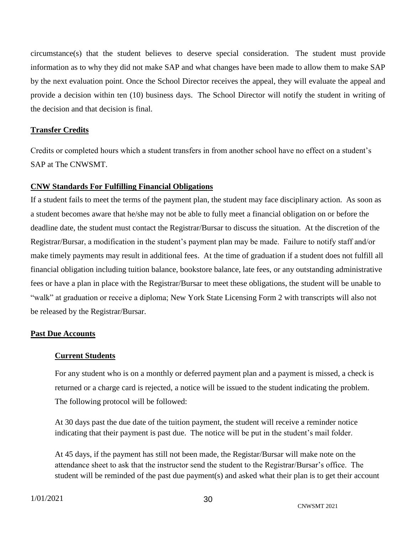circumstance(s) that the student believes to deserve special consideration. The student must provide information as to why they did not make SAP and what changes have been made to allow them to make SAP by the next evaluation point. Once the School Director receives the appeal, they will evaluate the appeal and provide a decision within ten (10) business days. The School Director will notify the student in writing of the decision and that decision is final.

#### **Transfer Credits**

Credits or completed hours which a student transfers in from another school have no effect on a student's SAP at The CNWSMT.

#### <span id="page-29-0"></span>**CNW Standards For Fulfilling Financial Obligations**

If a student fails to meet the terms of the payment plan, the student may face disciplinary action. As soon as a student becomes aware that he/she may not be able to fully meet a financial obligation on or before the deadline date, the student must contact the Registrar/Bursar to discuss the situation. At the discretion of the Registrar/Bursar, a modification in the student's payment plan may be made. Failure to notify staff and/or make timely payments may result in additional fees. At the time of graduation if a student does not fulfill all financial obligation including tuition balance, bookstore balance, late fees, or any outstanding administrative fees or have a plan in place with the Registrar/Bursar to meet these obligations, the student will be unable to "walk" at graduation or receive a diploma; New York State Licensing Form 2 with transcripts will also not be released by the Registrar/Bursar.

#### **Past Due Accounts**

#### **Current Students**

For any student who is on a monthly or deferred payment plan and a payment is missed, a check is returned or a charge card is rejected, a notice will be issued to the student indicating the problem. The following protocol will be followed:

At 30 days past the due date of the tuition payment, the student will receive a reminder notice indicating that their payment is past due. The notice will be put in the student's mail folder.

At 45 days, if the payment has still not been made, the Registar/Bursar will make note on the attendance sheet to ask that the instructor send the student to the Registrar/Bursar's office. The student will be reminded of the past due payment(s) and asked what their plan is to get their account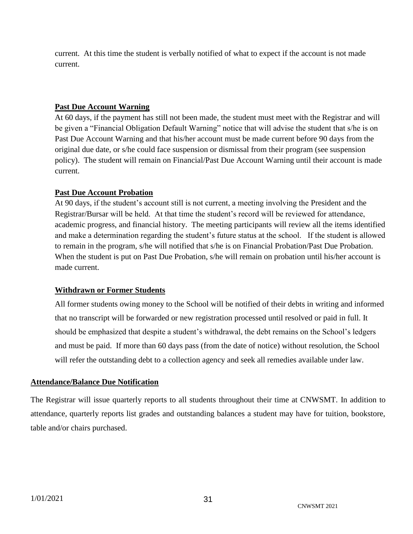current. At this time the student is verbally notified of what to expect if the account is not made current.

#### **Past Due Account Warning**

At 60 days, if the payment has still not been made, the student must meet with the Registrar and will be given a "Financial Obligation Default Warning" notice that will advise the student that s/he is on Past Due Account Warning and that his/her account must be made current before 90 days from the original due date, or s/he could face suspension or dismissal from their program (see suspension policy). The student will remain on Financial/Past Due Account Warning until their account is made current.

#### **Past Due Account Probation**

At 90 days, if the student's account still is not current, a meeting involving the President and the Registrar/Bursar will be held. At that time the student's record will be reviewed for attendance, academic progress, and financial history. The meeting participants will review all the items identified and make a determination regarding the student's future status at the school. If the student is allowed to remain in the program, s/he will notified that s/he is on Financial Probation/Past Due Probation. When the student is put on Past Due Probation, s/he will remain on probation until his/her account is made current.

#### **Withdrawn or Former Students**

All former students owing money to the School will be notified of their debts in writing and informed that no transcript will be forwarded or new registration processed until resolved or paid in full. It should be emphasized that despite a student's withdrawal, the debt remains on the School's ledgers and must be paid. If more than 60 days pass (from the date of notice) without resolution, the School will refer the outstanding debt to a collection agency and seek all remedies available under law.

#### <span id="page-30-0"></span>**Attendance/Balance Due Notification**

The Registrar will issue quarterly reports to all students throughout their time at CNWSMT. In addition to attendance, quarterly reports list grades and outstanding balances a student may have for tuition, bookstore, table and/or chairs purchased.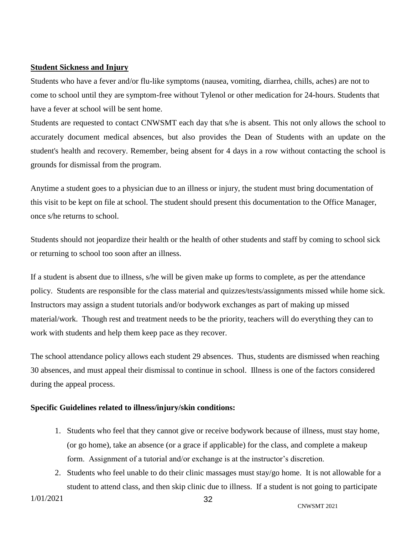#### <span id="page-31-0"></span>**Student Sickness and Injury**

Students who have a fever and/or flu-like symptoms (nausea, vomiting, diarrhea, chills, aches) are not to come to school until they are symptom-free without Tylenol or other medication for 24-hours. Students that have a fever at school will be sent home.

Students are requested to contact CNWSMT each day that s/he is absent. This not only allows the school to accurately document medical absences, but also provides the Dean of Students with an update on the student's health and recovery. Remember, being absent for 4 days in a row without contacting the school is grounds for dismissal from the program.

Anytime a student goes to a physician due to an illness or injury, the student must bring documentation of this visit to be kept on file at school. The student should present this documentation to the Office Manager, once s/he returns to school.

Students should not jeopardize their health or the health of other students and staff by coming to school sick or returning to school too soon after an illness.

If a student is absent due to illness, s/he will be given make up forms to complete, as per the attendance policy. Students are responsible for the class material and quizzes/tests/assignments missed while home sick. Instructors may assign a student tutorials and/or bodywork exchanges as part of making up missed material/work. Though rest and treatment needs to be the priority, teachers will do everything they can to work with students and help them keep pace as they recover.

The school attendance policy allows each student 29 absences. Thus, students are dismissed when reaching 30 absences, and must appeal their dismissal to continue in school. Illness is one of the factors considered during the appeal process.

#### **Specific Guidelines related to illness/injury/skin conditions:**

- 1. Students who feel that they cannot give or receive bodywork because of illness, must stay home, (or go home), take an absence (or a grace if applicable) for the class, and complete a makeup form. Assignment of a tutorial and/or exchange is at the instructor's discretion.
- 2. Students who feel unable to do their clinic massages must stay/go home. It is not allowable for a student to attend class, and then skip clinic due to illness. If a student is not going to participate

1/01/2021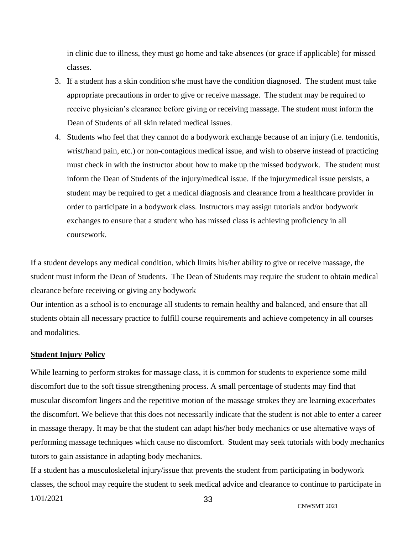in clinic due to illness, they must go home and take absences (or grace if applicable) for missed classes.

- 3. If a student has a skin condition s/he must have the condition diagnosed. The student must take appropriate precautions in order to give or receive massage. The student may be required to receive physician's clearance before giving or receiving massage. The student must inform the Dean of Students of all skin related medical issues.
- 4. Students who feel that they cannot do a bodywork exchange because of an injury (i.e. tendonitis, wrist/hand pain, etc.) or non-contagious medical issue, and wish to observe instead of practicing must check in with the instructor about how to make up the missed bodywork. The student must inform the Dean of Students of the injury/medical issue. If the injury/medical issue persists, a student may be required to get a medical diagnosis and clearance from a healthcare provider in order to participate in a bodywork class. Instructors may assign tutorials and/or bodywork exchanges to ensure that a student who has missed class is achieving proficiency in all coursework.

If a student develops any medical condition, which limits his/her ability to give or receive massage, the student must inform the Dean of Students. The Dean of Students may require the student to obtain medical clearance before receiving or giving any bodywork

Our intention as a school is to encourage all students to remain healthy and balanced, and ensure that all students obtain all necessary practice to fulfill course requirements and achieve competency in all courses and modalities.

#### <span id="page-32-0"></span>**Student Injury Policy**

While learning to perform strokes for massage class, it is common for students to experience some mild discomfort due to the soft tissue strengthening process. A small percentage of students may find that muscular discomfort lingers and the repetitive motion of the massage strokes they are learning exacerbates the discomfort. We believe that this does not necessarily indicate that the student is not able to enter a career in massage therapy. It may be that the student can adapt his/her body mechanics or use alternative ways of performing massage techniques which cause no discomfort. Student may seek tutorials with body mechanics tutors to gain assistance in adapting body mechanics.

1/01/2021 33 If a student has a musculoskeletal injury/issue that prevents the student from participating in bodywork classes, the school may require the student to seek medical advice and clearance to continue to participate in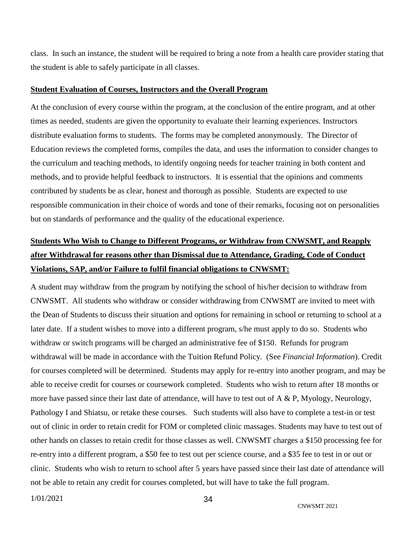class. In such an instance, the student will be required to bring a note from a health care provider stating that the student is able to safely participate in all classes.

#### <span id="page-33-0"></span>**Student Evaluation of Courses, Instructors and the Overall Program**

At the conclusion of every course within the program, at the conclusion of the entire program, and at other times as needed, students are given the opportunity to evaluate their learning experiences. Instructors distribute evaluation forms to students. The forms may be completed anonymously. The Director of Education reviews the completed forms, compiles the data, and uses the information to consider changes to the curriculum and teaching methods, to identify ongoing needs for teacher training in both content and methods, and to provide helpful feedback to instructors. It is essential that the opinions and comments contributed by students be as clear, honest and thorough as possible. Students are expected to use responsible communication in their choice of words and tone of their remarks, focusing not on personalities but on standards of performance and the quality of the educational experience.

## <span id="page-33-1"></span>**Students Who Wish to Change to Different Programs, or Withdraw from CNWSMT, and Reapply after Withdrawal for reasons other than Dismissal due to Attendance, Grading, Code of Conduct Violations, SAP, and/or Failure to fulfil financial obligations to CNWSMT:**

A student may withdraw from the program by notifying the school of his/her decision to withdraw from CNWSMT. All students who withdraw or consider withdrawing from CNWSMT are invited to meet with the Dean of Students to discuss their situation and options for remaining in school or returning to school at a later date. If a student wishes to move into a different program, s/he must apply to do so. Students who withdraw or switch programs will be charged an administrative fee of \$150. Refunds for program withdrawal will be made in accordance with the Tuition Refund Policy. (See *Financial Information*). Credit for courses completed will be determined. Students may apply for re-entry into another program, and may be able to receive credit for courses or coursework completed. Students who wish to return after 18 months or more have passed since their last date of attendance, will have to test out of  $A \& P$ , Myology, Neurology, Pathology I and Shiatsu, or retake these courses. Such students will also have to complete a test-in or test out of clinic in order to retain credit for FOM or completed clinic massages. Students may have to test out of other hands on classes to retain credit for those classes as well. CNWSMT charges a \$150 processing fee for re-entry into a different program, a \$50 fee to test out per science course, and a \$35 fee to test in or out or clinic. Students who wish to return to school after 5 years have passed since their last date of attendance will not be able to retain any credit for courses completed, but will have to take the full program.

1/01/2021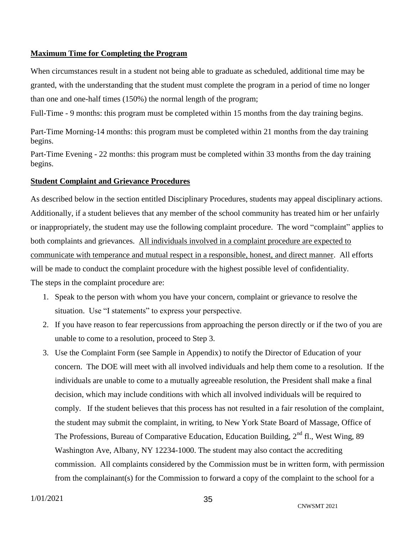#### <span id="page-34-0"></span>**Maximum Time for Completing the Program**

When circumstances result in a student not being able to graduate as scheduled, additional time may be granted, with the understanding that the student must complete the program in a period of time no longer than one and one-half times (150%) the normal length of the program;

Full-Time - 9 months: this program must be completed within 15 months from the day training begins.

Part-Time Morning-14 months: this program must be completed within 21 months from the day training begins.

Part-Time Evening - 22 months: this program must be completed within 33 months from the day training begins.

#### <span id="page-34-1"></span>**Student Complaint and Grievance Procedures**

As described below in the section entitled Disciplinary Procedures, students may appeal disciplinary actions. Additionally, if a student believes that any member of the school community has treated him or her unfairly or inappropriately, the student may use the following complaint procedure. The word "complaint" applies to both complaints and grievances. All individuals involved in a complaint procedure are expected to communicate with temperance and mutual respect in a responsible, honest, and direct manner. All efforts will be made to conduct the complaint procedure with the highest possible level of confidentiality. The steps in the complaint procedure are:

- 1. Speak to the person with whom you have your concern, complaint or grievance to resolve the situation. Use "I statements" to express your perspective.
- 2. If you have reason to fear repercussions from approaching the person directly or if the two of you are unable to come to a resolution, proceed to Step 3.
- 3. Use the Complaint Form (see Sample in Appendix) to notify the Director of Education of your concern. The DOE will meet with all involved individuals and help them come to a resolution. If the individuals are unable to come to a mutually agreeable resolution, the President shall make a final decision, which may include conditions with which all involved individuals will be required to comply. If the student believes that this process has not resulted in a fair resolution of the complaint, the student may submit the complaint, in writing, to New York State Board of Massage, Office of The Professions, Bureau of Comparative Education, Education Building, 2<sup>nd</sup> fl., West Wing, 89 Washington Ave, Albany, NY 12234-1000. The student may also contact the accrediting commission. All complaints considered by the Commission must be in written form, with permission from the complainant(s) for the Commission to forward a copy of the complaint to the school for a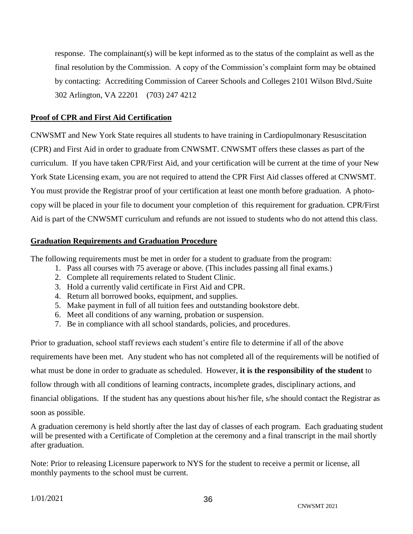response. The complainant(s) will be kept informed as to the status of the complaint as well as the final resolution by the Commission. A copy of the Commission's complaint form may be obtained by contacting: Accrediting Commission of Career Schools and Colleges 2101 Wilson Blvd./Suite 302 Arlington, VA 22201 (703) 247 4212

#### <span id="page-35-0"></span>**Proof of CPR and First Aid Certification**

CNWSMT and New York State requires all students to have training in Cardiopulmonary Resuscitation (CPR) and First Aid in order to graduate from CNWSMT. CNWSMT offers these classes as part of the curriculum. If you have taken CPR/First Aid, and your certification will be current at the time of your New York State Licensing exam, you are not required to attend the CPR First Aid classes offered at CNWSMT. You must provide the Registrar proof of your certification at least one month before graduation. A photocopy will be placed in your file to document your completion of this requirement for graduation. CPR/First Aid is part of the CNWSMT curriculum and refunds are not issued to students who do not attend this class.

#### <span id="page-35-1"></span>**Graduation Requirements and Graduation Procedure**

The following requirements must be met in order for a student to graduate from the program:

- 1. Pass all courses with 75 average or above. (This includes passing all final exams.)
- 2. Complete all requirements related to Student Clinic.
- 3. Hold a currently valid certificate in First Aid and CPR.
- 4. Return all borrowed books, equipment, and supplies.
- 5. Make payment in full of all tuition fees and outstanding bookstore debt.
- 6. Meet all conditions of any warning, probation or suspension.
- 7. Be in compliance with all school standards, policies, and procedures.

Prior to graduation, school staff reviews each student's entire file to determine if all of the above requirements have been met. Any student who has not completed all of the requirements will be notified of what must be done in order to graduate as scheduled. However, **it is the responsibility of the student** to follow through with all conditions of learning contracts, incomplete grades, disciplinary actions, and financial obligations. If the student has any questions about his/her file, s/he should contact the Registrar as soon as possible.

A graduation ceremony is held shortly after the last day of classes of each program. Each graduating student will be presented with a Certificate of Completion at the ceremony and a final transcript in the mail shortly after graduation.

Note: Prior to releasing Licensure paperwork to NYS for the student to receive a permit or license, all monthly payments to the school must be current.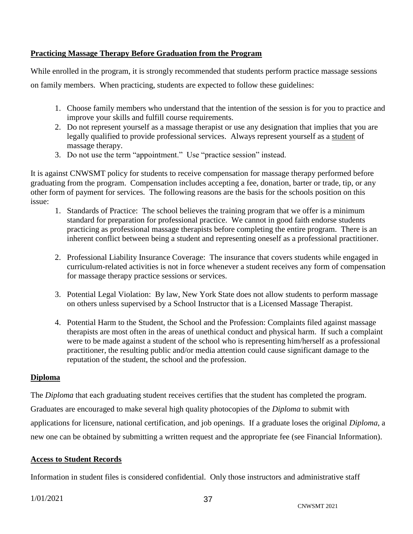#### <span id="page-36-0"></span>**Practicing Massage Therapy Before Graduation from the Program**

While enrolled in the program, it is strongly recommended that students perform practice massage sessions

on family members. When practicing, students are expected to follow these guidelines:

- 1. Choose family members who understand that the intention of the session is for you to practice and improve your skills and fulfill course requirements.
- 2. Do not represent yourself as a massage therapist or use any designation that implies that you are legally qualified to provide professional services. Always represent yourself as a student of massage therapy.
- 3. Do not use the term "appointment." Use "practice session" instead.

It is against CNWSMT policy for students to receive compensation for massage therapy performed before graduating from the program. Compensation includes accepting a fee, donation, barter or trade, tip, or any other form of payment for services. The following reasons are the basis for the schools position on this issue:

- 1. Standards of Practice: The school believes the training program that we offer is a minimum standard for preparation for professional practice. We cannot in good faith endorse students practicing as professional massage therapists before completing the entire program. There is an inherent conflict between being a student and representing oneself as a professional practitioner.
- 2. Professional Liability Insurance Coverage: The insurance that covers students while engaged in curriculum-related activities is not in force whenever a student receives any form of compensation for massage therapy practice sessions or services.
- 3. Potential Legal Violation: By law, New York State does not allow students to perform massage on others unless supervised by a School Instructor that is a Licensed Massage Therapist.
- 4. Potential Harm to the Student, the School and the Profession: Complaints filed against massage therapists are most often in the areas of unethical conduct and physical harm. If such a complaint were to be made against a student of the school who is representing him/herself as a professional practitioner, the resulting public and/or media attention could cause significant damage to the reputation of the student, the school and the profession.

#### <span id="page-36-1"></span>**Diploma**

The *Diploma* that each graduating student receives certifies that the student has completed the program. Graduates are encouraged to make several high quality photocopies of the *Diploma* to submit with applications for licensure, national certification, and job openings. If a graduate loses the original *Diploma*, a new one can be obtained by submitting a written request and the appropriate fee (see Financial Information).

#### <span id="page-36-2"></span>**Access to Student Records**

Information in student files is considered confidential. Only those instructors and administrative staff

1/01/2021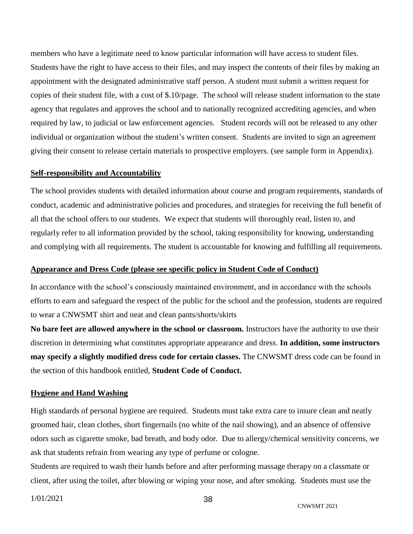members who have a legitimate need to know particular information will have access to student files. Students have the right to have access to their files, and may inspect the contents of their files by making an appointment with the designated administrative staff person. A student must submit a written request for copies of their student file, with a cost of \$.10/page. The school will release student information to the state agency that regulates and approves the school and to nationally recognized accrediting agencies, and when required by law, to judicial or law enforcement agencies. Student records will not be released to any other individual or organization without the student's written consent. Students are invited to sign an agreement giving their consent to release certain materials to prospective employers. (see sample form in Appendix).

#### <span id="page-37-0"></span>**Self-responsibility and Accountability**

The school provides students with detailed information about course and program requirements, standards of conduct, academic and administrative policies and procedures, and strategies for receiving the full benefit of all that the school offers to our students. We expect that students will thoroughly read, listen to, and regularly refer to all information provided by the school, taking responsibility for knowing, understanding and complying with all requirements. The student is accountable for knowing and fulfilling all requirements.

#### <span id="page-37-1"></span>**Appearance and Dress Code (please see specific policy in Student Code of Conduct)**

In accordance with the school's consciously maintained environment, and in accordance with the schools efforts to earn and safeguard the respect of the public for the school and the profession, students are required to wear a CNWSMT shirt and neat and clean pants/shorts/skirts

**No bare feet are allowed anywhere in the school or classroom.** Instructors have the authority to use their discretion in determining what constitutes appropriate appearance and dress. **In addition, some instructors may specify a slightly modified dress code for certain classes.** The CNWSMT dress code can be found in the section of this handbook entitled, **Student Code of Conduct.**

#### <span id="page-37-2"></span>**Hygiene and Hand Washing**

High standards of personal hygiene are required. Students must take extra care to insure clean and neatly groomed hair, clean clothes, short fingernails (no white of the nail showing), and an absence of offensive odors such as cigarette smoke, bad breath, and body odor. Due to allergy/chemical sensitivity concerns, we ask that students refrain from wearing any type of perfume or cologne.

Students are required to wash their hands before and after performing massage therapy on a classmate or client, after using the toilet, after blowing or wiping your nose, and after smoking. Students must use the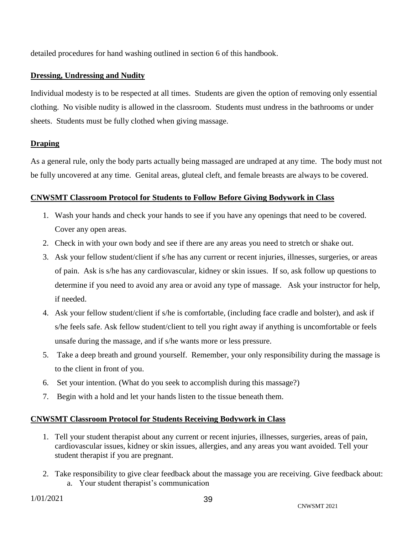detailed procedures for hand washing outlined in section 6 of this handbook.

#### <span id="page-38-0"></span>**Dressing, Undressing and Nudity**

Individual modesty is to be respected at all times. Students are given the option of removing only essential clothing. No visible nudity is allowed in the classroom. Students must undress in the bathrooms or under sheets. Students must be fully clothed when giving massage.

#### <span id="page-38-1"></span>**Draping**

As a general rule, only the body parts actually being massaged are undraped at any time. The body must not be fully uncovered at any time. Genital areas, gluteal cleft, and female breasts are always to be covered.

#### <span id="page-38-2"></span>**CNWSMT Classroom Protocol for Students to Follow Before Giving Bodywork in Class**

- 1. Wash your hands and check your hands to see if you have any openings that need to be covered. Cover any open areas.
- 2. Check in with your own body and see if there are any areas you need to stretch or shake out.
- 3. Ask your fellow student/client if s/he has any current or recent injuries, illnesses, surgeries, or areas of pain. Ask is s/he has any cardiovascular, kidney or skin issues. If so, ask follow up questions to determine if you need to avoid any area or avoid any type of massage. Ask your instructor for help, if needed.
- 4. Ask your fellow student/client if s/he is comfortable, (including face cradle and bolster), and ask if s/he feels safe. Ask fellow student/client to tell you right away if anything is uncomfortable or feels unsafe during the massage, and if s/he wants more or less pressure.
- 5. Take a deep breath and ground yourself. Remember, your only responsibility during the massage is to the client in front of you.
- 6. Set your intention. (What do you seek to accomplish during this massage?)
- 7. Begin with a hold and let your hands listen to the tissue beneath them.

#### <span id="page-38-3"></span>**CNWSMT Classroom Protocol for Students Receiving Bodywork in Class**

- 1. Tell your student therapist about any current or recent injuries, illnesses, surgeries, areas of pain, cardiovascular issues, kidney or skin issues, allergies, and any areas you want avoided. Tell your student therapist if you are pregnant.
- 2. Take responsibility to give clear feedback about the massage you are receiving. Give feedback about: a. Your student therapist's communication

1/01/2021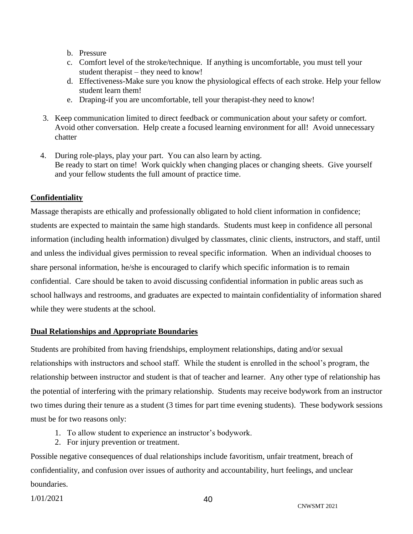- b. Pressure
- c. Comfort level of the stroke/technique. If anything is uncomfortable, you must tell your student therapist – they need to know!
- d. Effectiveness-Make sure you know the physiological effects of each stroke. Help your fellow student learn them!
- e. Draping-if you are uncomfortable, tell your therapist-they need to know!
- 3. Keep communication limited to direct feedback or communication about your safety or comfort. Avoid other conversation. Help create a focused learning environment for all! Avoid unnecessary chatter
- 4. During role-plays, play your part. You can also learn by acting. Be ready to start on time! Work quickly when changing places or changing sheets. Give yourself and your fellow students the full amount of practice time.

#### <span id="page-39-0"></span>**Confidentiality**

Massage therapists are ethically and professionally obligated to hold client information in confidence; students are expected to maintain the same high standards. Students must keep in confidence all personal information (including health information) divulged by classmates, clinic clients, instructors, and staff, until and unless the individual gives permission to reveal specific information. When an individual chooses to share personal information, he/she is encouraged to clarify which specific information is to remain confidential. Care should be taken to avoid discussing confidential information in public areas such as school hallways and restrooms, and graduates are expected to maintain confidentiality of information shared while they were students at the school.

#### <span id="page-39-1"></span>**Dual Relationships and Appropriate Boundaries**

Students are prohibited from having friendships, employment relationships, dating and/or sexual relationships with instructors and school staff. While the student is enrolled in the school's program, the relationship between instructor and student is that of teacher and learner. Any other type of relationship has the potential of interfering with the primary relationship. Students may receive bodywork from an instructor two times during their tenure as a student (3 times for part time evening students). These bodywork sessions must be for two reasons only:

- 1. To allow student to experience an instructor's bodywork.
- 2. For injury prevention or treatment.

Possible negative consequences of dual relationships include favoritism, unfair treatment, breach of confidentiality, and confusion over issues of authority and accountability, hurt feelings, and unclear boundaries.

1/01/2021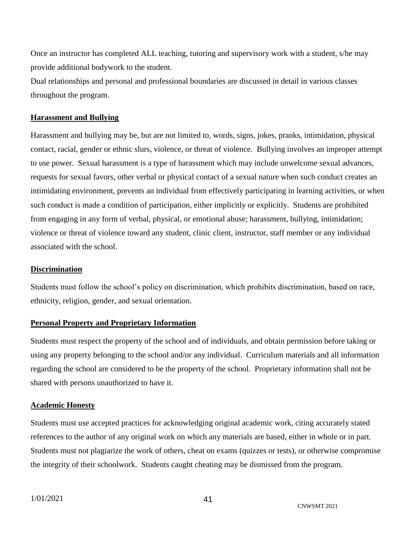Once an instructor has completed ALL teaching, tutoring and supervisory work with a student, s/he may provide additional bodywork to the student.

Dual relationships and personal and professional boundaries are discussed in detail in various classes throughout the program.

#### <span id="page-40-0"></span>**Harassment and Bullying**

Harassment and bullying may be, but are not limited to, words, signs, jokes, pranks, intimidation, physical contact, racial, gender or ethnic slurs, violence, or threat of violence. Bullying involves an improper attempt to use power. Sexual harassment is a type of harassment which may include unwelcome sexual advances, requests for sexual favors, other verbal or physical contact of a sexual nature when such conduct creates an intimidating environment, prevents an individual from effectively participating in learning activities, or when such conduct is made a condition of participation, either implicitly or explicitly. Students are prohibited from engaging in any form of verbal, physical, or emotional abuse; harassment, bullying, intimidation; violence or threat of violence toward any student, clinic client, instructor, staff member or any individual associated with the school.

#### <span id="page-40-1"></span>**Discrimination**

Students must follow the school's policy on discrimination, which prohibits discrimination, based on race, ethnicity, religion, gender, and sexual orientation.

#### <span id="page-40-2"></span>**Personal Property and Proprietary Information**

Students must respect the property of the school and of individuals, and obtain permission before taking or using any property belonging to the school and/or any individual. Curriculum materials and all information regarding the school are considered to be the property of the school. Proprietary information shall not be shared with persons unauthorized to have it.

#### <span id="page-40-3"></span>**Academic Honesty**

Students must use accepted practices for acknowledging original academic work, citing accurately stated references to the author of any original work on which any materials are based, either in whole or in part. Students must not plagiarize the work of others, cheat on exams (quizzes or tests), or otherwise compromise the integrity of their schoolwork. Students caught cheating may be dismissed from the program.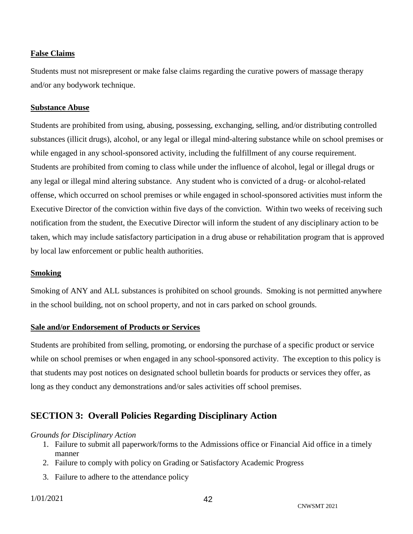#### <span id="page-41-0"></span>**False Claims**

Students must not misrepresent or make false claims regarding the curative powers of massage therapy and/or any bodywork technique.

#### <span id="page-41-1"></span>**Substance Abuse**

Students are prohibited from using, abusing, possessing, exchanging, selling, and/or distributing controlled substances (illicit drugs), alcohol, or any legal or illegal mind-altering substance while on school premises or while engaged in any school-sponsored activity, including the fulfillment of any course requirement. Students are prohibited from coming to class while under the influence of alcohol, legal or illegal drugs or any legal or illegal mind altering substance. Any student who is convicted of a drug- or alcohol-related offense, which occurred on school premises or while engaged in school-sponsored activities must inform the Executive Director of the conviction within five days of the conviction. Within two weeks of receiving such notification from the student, the Executive Director will inform the student of any disciplinary action to be taken, which may include satisfactory participation in a drug abuse or rehabilitation program that is approved by local law enforcement or public health authorities.

#### <span id="page-41-2"></span>**Smoking**

Smoking of ANY and ALL substances is prohibited on school grounds. Smoking is not permitted anywhere in the school building, not on school property, and not in cars parked on school grounds.

#### <span id="page-41-3"></span>**Sale and/or Endorsement of Products or Services**

Students are prohibited from selling, promoting, or endorsing the purchase of a specific product or service while on school premises or when engaged in any school-sponsored activity. The exception to this policy is that students may post notices on designated school bulletin boards for products or services they offer, as long as they conduct any demonstrations and/or sales activities off school premises.

## <span id="page-41-4"></span>**SECTION 3: Overall Policies Regarding Disciplinary Action**

#### *Grounds for Disciplinary Action*

- 1. Failure to submit all paperwork/forms to the Admissions office or Financial Aid office in a timely manner
- 2. Failure to comply with policy on Grading or Satisfactory Academic Progress
- 3. Failure to adhere to the attendance policy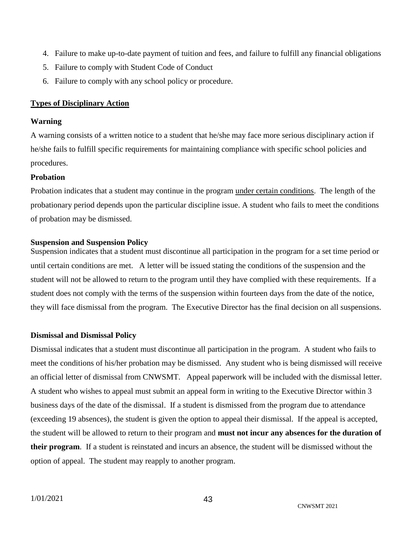- 4. Failure to make up-to-date payment of tuition and fees, and failure to fulfill any financial obligations
- 5. Failure to comply with Student Code of Conduct
- 6. Failure to comply with any school policy or procedure.

#### <span id="page-42-0"></span>**Types of Disciplinary Action**

#### **Warning**

A warning consists of a written notice to a student that he/she may face more serious disciplinary action if he/she fails to fulfill specific requirements for maintaining compliance with specific school policies and procedures.

#### **Probation**

Probation indicates that a student may continue in the program under certain conditions. The length of the probationary period depends upon the particular discipline issue. A student who fails to meet the conditions of probation may be dismissed.

#### **Suspension and Suspension Policy**

Suspension indicates that a student must discontinue all participation in the program for a set time period or until certain conditions are met. A letter will be issued stating the conditions of the suspension and the student will not be allowed to return to the program until they have complied with these requirements. If a student does not comply with the terms of the suspension within fourteen days from the date of the notice, they will face dismissal from the program. The Executive Director has the final decision on all suspensions.

#### **Dismissal and Dismissal Policy**

Dismissal indicates that a student must discontinue all participation in the program. A student who fails to meet the conditions of his/her probation may be dismissed. Any student who is being dismissed will receive an official letter of dismissal from CNWSMT. Appeal paperwork will be included with the dismissal letter. A student who wishes to appeal must submit an appeal form in writing to the Executive Director within 3 business days of the date of the dismissal. If a student is dismissed from the program due to attendance (exceeding 19 absences), the student is given the option to appeal their dismissal. If the appeal is accepted, the student will be allowed to return to their program and **must not incur any absences for the duration of their program**. If a student is reinstated and incurs an absence, the student will be dismissed without the option of appeal. The student may reapply to another program.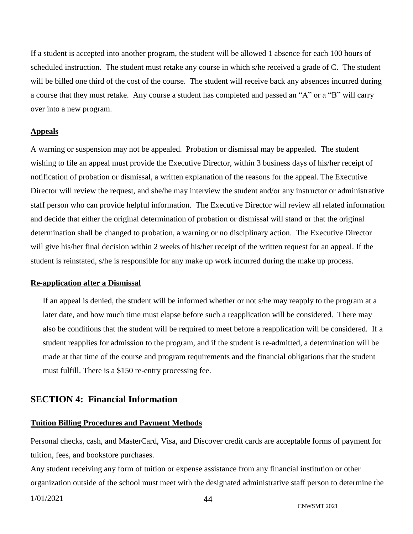If a student is accepted into another program, the student will be allowed 1 absence for each 100 hours of scheduled instruction. The student must retake any course in which s/he received a grade of C. The student will be billed one third of the cost of the course. The student will receive back any absences incurred during a course that they must retake. Any course a student has completed and passed an "A" or a "B" will carry over into a new program.

#### <span id="page-43-0"></span>**Appeals**

A warning or suspension may not be appealed. Probation or dismissal may be appealed. The student wishing to file an appeal must provide the Executive Director, within 3 business days of his/her receipt of notification of probation or dismissal, a written explanation of the reasons for the appeal. The Executive Director will review the request, and she/he may interview the student and/or any instructor or administrative staff person who can provide helpful information. The Executive Director will review all related information and decide that either the original determination of probation or dismissal will stand or that the original determination shall be changed to probation, a warning or no disciplinary action. The Executive Director will give his/her final decision within 2 weeks of his/her receipt of the written request for an appeal. If the student is reinstated, s/he is responsible for any make up work incurred during the make up process.

#### <span id="page-43-1"></span>**Re-application after a Dismissal**

If an appeal is denied, the student will be informed whether or not s/he may reapply to the program at a later date, and how much time must elapse before such a reapplication will be considered. There may also be conditions that the student will be required to meet before a reapplication will be considered. If a student reapplies for admission to the program, and if the student is re-admitted, a determination will be made at that time of the course and program requirements and the financial obligations that the student must fulfill. There is a \$150 re-entry processing fee.

#### <span id="page-43-2"></span>**SECTION 4: Financial Information**

#### <span id="page-43-3"></span>**Tuition Billing Procedures and Payment Methods**

Personal checks, cash, and MasterCard, Visa, and Discover credit cards are acceptable forms of payment for tuition, fees, and bookstore purchases.

Any student receiving any form of tuition or expense assistance from any financial institution or other organization outside of the school must meet with the designated administrative staff person to determine the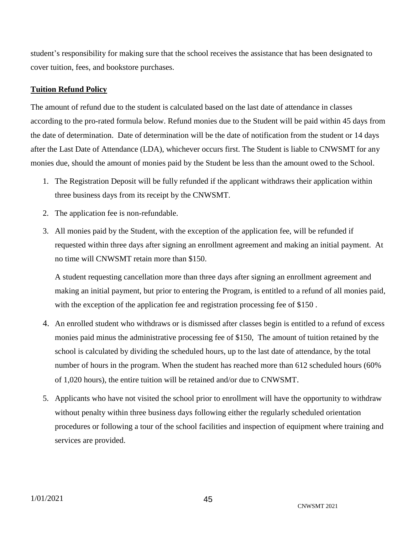student's responsibility for making sure that the school receives the assistance that has been designated to cover tuition, fees, and bookstore purchases.

#### <span id="page-44-0"></span>**Tuition Refund Policy**

The amount of refund due to the student is calculated based on the last date of attendance in classes according to the pro-rated formula below. Refund monies due to the Student will be paid within 45 days from the date of determination. Date of determination will be the date of notification from the student or 14 days after the Last Date of Attendance (LDA), whichever occurs first. The Student is liable to CNWSMT for any monies due, should the amount of monies paid by the Student be less than the amount owed to the School.

- 1. The Registration Deposit will be fully refunded if the applicant withdraws their application within three business days from its receipt by the CNWSMT.
- 2. The application fee is non-refundable.
- 3. All monies paid by the Student, with the exception of the application fee, will be refunded if requested within three days after signing an enrollment agreement and making an initial payment. At no time will CNWSMT retain more than \$150.

A student requesting cancellation more than three days after signing an enrollment agreement and making an initial payment, but prior to entering the Program, is entitled to a refund of all monies paid, with the exception of the application fee and registration processing fee of \$150.

- 4. An enrolled student who withdraws or is dismissed after classes begin is entitled to a refund of excess monies paid minus the administrative processing fee of \$150, The amount of tuition retained by the school is calculated by dividing the scheduled hours, up to the last date of attendance, by the total number of hours in the program. When the student has reached more than 612 scheduled hours (60% of 1,020 hours), the entire tuition will be retained and/or due to CNWSMT.
- 5. Applicants who have not visited the school prior to enrollment will have the opportunity to withdraw without penalty within three business days following either the regularly scheduled orientation procedures or following a tour of the school facilities and inspection of equipment where training and services are provided.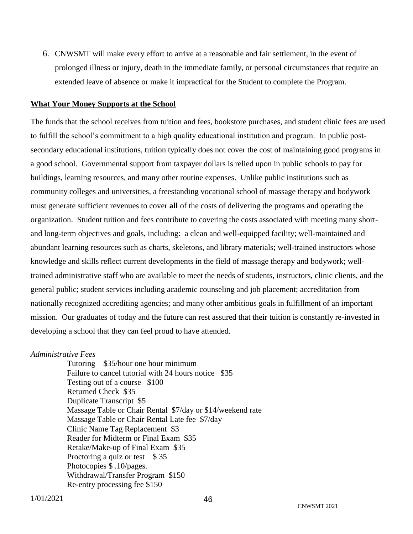6. CNWSMT will make every effort to arrive at a reasonable and fair settlement, in the event of prolonged illness or injury, death in the immediate family, or personal circumstances that require an extended leave of absence or make it impractical for the Student to complete the Program.

#### <span id="page-45-0"></span>**What Your Money Supports at the School**

The funds that the school receives from tuition and fees, bookstore purchases, and student clinic fees are used to fulfill the school's commitment to a high quality educational institution and program. In public postsecondary educational institutions, tuition typically does not cover the cost of maintaining good programs in a good school. Governmental support from taxpayer dollars is relied upon in public schools to pay for buildings, learning resources, and many other routine expenses. Unlike public institutions such as community colleges and universities, a freestanding vocational school of massage therapy and bodywork must generate sufficient revenues to cover **all** of the costs of delivering the programs and operating the organization. Student tuition and fees contribute to covering the costs associated with meeting many shortand long-term objectives and goals, including: a clean and well-equipped facility; well-maintained and abundant learning resources such as charts, skeletons, and library materials; well-trained instructors whose knowledge and skills reflect current developments in the field of massage therapy and bodywork; welltrained administrative staff who are available to meet the needs of students, instructors, clinic clients, and the general public; student services including academic counseling and job placement; accreditation from nationally recognized accrediting agencies; and many other ambitious goals in fulfillment of an important mission. Our graduates of today and the future can rest assured that their tuition is constantly re-invested in developing a school that they can feel proud to have attended.

#### *Administrative Fees*

<span id="page-45-1"></span>Tutoring \$35/hour one hour minimum Failure to cancel tutorial with 24 hours notice \$35 Testing out of a course \$100 Returned Check \$35 Duplicate Transcript \$5 Massage Table or Chair Rental \$7/day or \$14/weekend rate Massage Table or Chair Rental Late fee \$7/day Clinic Name Tag Replacement \$3 Reader for Midterm or Final Exam \$35 Retake/Make-up of Final Exam \$35 Proctoring a quiz or test \$35 Photocopies \$ .10/pages. Withdrawal/Transfer Program \$150 Re-entry processing fee \$150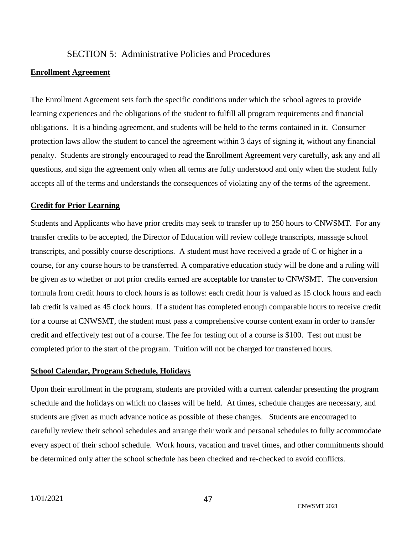#### SECTION 5: Administrative Policies and Procedures

#### <span id="page-46-0"></span>**Enrollment Agreement**

The Enrollment Agreement sets forth the specific conditions under which the school agrees to provide learning experiences and the obligations of the student to fulfill all program requirements and financial obligations. It is a binding agreement, and students will be held to the terms contained in it. Consumer protection laws allow the student to cancel the agreement within 3 days of signing it, without any financial penalty. Students are strongly encouraged to read the Enrollment Agreement very carefully, ask any and all questions, and sign the agreement only when all terms are fully understood and only when the student fully accepts all of the terms and understands the consequences of violating any of the terms of the agreement.

#### <span id="page-46-1"></span>**Credit for Prior Learning**

Students and Applicants who have prior credits may seek to transfer up to 250 hours to CNWSMT. For any transfer credits to be accepted, the Director of Education will review college transcripts, massage school transcripts, and possibly course descriptions. A student must have received a grade of C or higher in a course, for any course hours to be transferred. A comparative education study will be done and a ruling will be given as to whether or not prior credits earned are acceptable for transfer to CNWSMT. The conversion formula from credit hours to clock hours is as follows: each credit hour is valued as 15 clock hours and each lab credit is valued as 45 clock hours. If a student has completed enough comparable hours to receive credit for a course at CNWSMT, the student must pass a comprehensive course content exam in order to transfer credit and effectively test out of a course. The fee for testing out of a course is \$100. Test out must be completed prior to the start of the program. Tuition will not be charged for transferred hours.

#### <span id="page-46-2"></span>**School Calendar, Program Schedule, Holidays**

Upon their enrollment in the program, students are provided with a current calendar presenting the program schedule and the holidays on which no classes will be held. At times, schedule changes are necessary, and students are given as much advance notice as possible of these changes. Students are encouraged to carefully review their school schedules and arrange their work and personal schedules to fully accommodate every aspect of their school schedule.Work hours, vacation and travel times, and other commitments should be determined only after the school schedule has been checked and re-checked to avoid conflicts.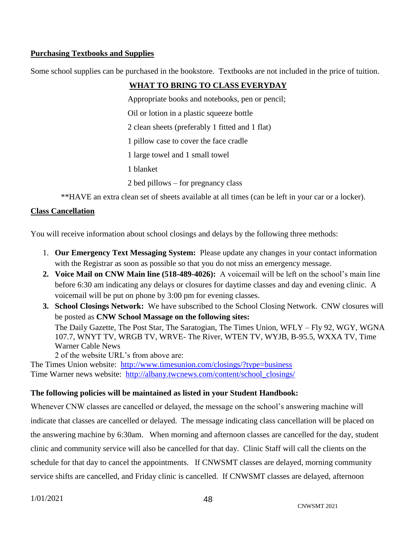#### <span id="page-47-0"></span>**Purchasing Textbooks and Supplies**

Some school supplies can be purchased in the bookstore. Textbooks are not included in the price of tuition.

## **WHAT TO BRING TO CLASS EVERYDAY**

Appropriate books and notebooks, pen or pencil;

Oil or lotion in a plastic squeeze bottle

2 clean sheets (preferably 1 fitted and 1 flat)

1 pillow case to cover the face cradle

1 large towel and 1 small towel

- 1 blanket
- 2 bed pillows for pregnancy class

\*\*HAVE an extra clean set of sheets available at all times (can be left in your car or a locker).

#### <span id="page-47-1"></span>**Class Cancellation**

You will receive information about school closings and delays by the following three methods:

- 1. **Our Emergency Text Messaging System:** Please update any changes in your contact information with the Registrar as soon as possible so that you do not miss an emergency message.
- **2. Voice Mail on CNW Main line (518-489-4026):** A voicemail will be left on the school's main line before 6:30 am indicating any delays or closures for daytime classes and day and evening clinic. A voicemail will be put on phone by 3:00 pm for evening classes.
- **3. School Closings Network:** We have subscribed to the School Closing Network. CNW closures will be posted as **CNW School Massage on the following sites:** The Daily Gazette, The Post Star, The Saratogian, The Times Union, WFLY – Fly 92, WGY, WGNA 107.7, WNYT TV, WRGB TV, WRVE- The River, WTEN TV, WYJB, B-95.5, WXXA TV, Time Warner Cable News

2 of the website URL's from above are:

The Times Union website: <http://www.timesunion.com/closings/?type=business> Time Warner news website: [http://albany.twcnews.com/content/school\\_closings/](http://albany.twcnews.com/content/school_closings/)

#### **The following policies will be maintained as listed in your Student Handbook:**

Whenever CNW classes are cancelled or delayed, the message on the school's answering machine will indicate that classes are cancelled or delayed. The message indicating class cancellation will be placed on the answering machine by 6:30am. When morning and afternoon classes are cancelled for the day, student clinic and community service will also be cancelled for that day. Clinic Staff will call the clients on the schedule for that day to cancel the appointments. If CNWSMT classes are delayed, morning community service shifts are cancelled, and Friday clinic is cancelled. If CNWSMT classes are delayed, afternoon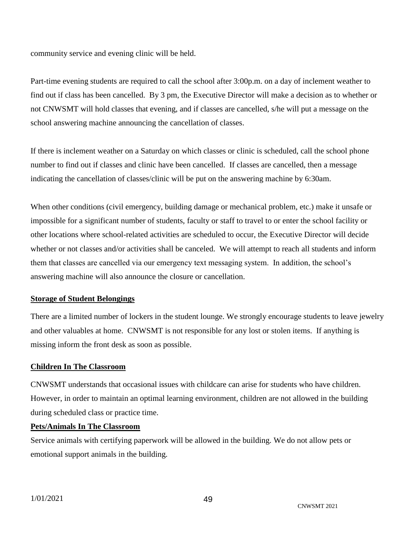community service and evening clinic will be held.

Part-time evening students are required to call the school after 3:00p.m. on a day of inclement weather to find out if class has been cancelled. By 3 pm, the Executive Director will make a decision as to whether or not CNWSMT will hold classes that evening, and if classes are cancelled, s/he will put a message on the school answering machine announcing the cancellation of classes.

If there is inclement weather on a Saturday on which classes or clinic is scheduled, call the school phone number to find out if classes and clinic have been cancelled. If classes are cancelled, then a message indicating the cancellation of classes/clinic will be put on the answering machine by 6:30am.

When other conditions (civil emergency, building damage or mechanical problem, etc.) make it unsafe or impossible for a significant number of students, faculty or staff to travel to or enter the school facility or other locations where school-related activities are scheduled to occur, the Executive Director will decide whether or not classes and/or activities shall be canceled. We will attempt to reach all students and inform them that classes are cancelled via our emergency text messaging system. In addition, the school's answering machine will also announce the closure or cancellation.

#### <span id="page-48-0"></span>**Storage of Student Belongings**

There are a limited number of lockers in the student lounge. We strongly encourage students to leave jewelry and other valuables at home. CNWSMT is not responsible for any lost or stolen items. If anything is missing inform the front desk as soon as possible.

#### <span id="page-48-1"></span>**Children In The Classroom**

CNWSMT understands that occasional issues with childcare can arise for students who have children. However, in order to maintain an optimal learning environment, children are not allowed in the building during scheduled class or practice time.

#### **Pets/Animals In The Classroom**

Service animals with certifying paperwork will be allowed in the building. We do not allow pets or emotional support animals in the building.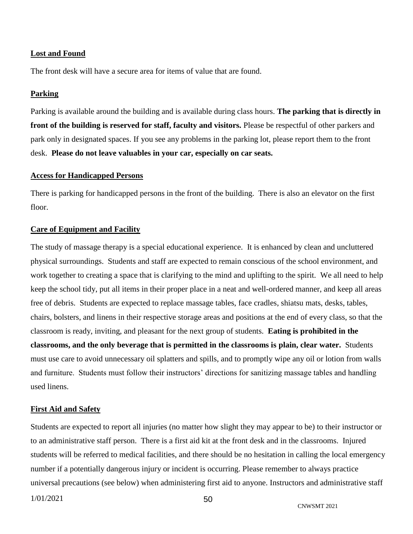#### <span id="page-49-0"></span>**Lost and Found**

The front desk will have a secure area for items of value that are found.

#### <span id="page-49-1"></span>**Parking**

Parking is available around the building and is available during class hours. **The parking that is directly in front of the building is reserved for staff, faculty and visitors.** Please be respectful of other parkers and park only in designated spaces. If you see any problems in the parking lot, please report them to the front desk. **Please do not leave valuables in your car, especially on car seats.**

#### <span id="page-49-2"></span>**Access for Handicapped Persons**

There is parking for handicapped persons in the front of the building. There is also an elevator on the first floor.

#### <span id="page-49-3"></span>**Care of Equipment and Facility**

The study of massage therapy is a special educational experience. It is enhanced by clean and uncluttered physical surroundings. Students and staff are expected to remain conscious of the school environment, and work together to creating a space that is clarifying to the mind and uplifting to the spirit. We all need to help keep the school tidy, put all items in their proper place in a neat and well-ordered manner, and keep all areas free of debris. Students are expected to replace massage tables, face cradles, shiatsu mats, desks, tables, chairs, bolsters, and linens in their respective storage areas and positions at the end of every class, so that the classroom is ready, inviting, and pleasant for the next group of students. **Eating is prohibited in the classrooms, and the only beverage that is permitted in the classrooms is plain, clear water.** Students must use care to avoid unnecessary oil splatters and spills, and to promptly wipe any oil or lotion from walls and furniture. Students must follow their instructors' directions for sanitizing massage tables and handling used linens.

#### <span id="page-49-4"></span>**First Aid and Safety**

Students are expected to report all injuries (no matter how slight they may appear to be) to their instructor or to an administrative staff person. There is a first aid kit at the front desk and in the classrooms. Injured students will be referred to medical facilities, and there should be no hesitation in calling the local emergency number if a potentially dangerous injury or incident is occurring. Please remember to always practice universal precautions (see below) when administering first aid to anyone. Instructors and administrative staff

1/01/2021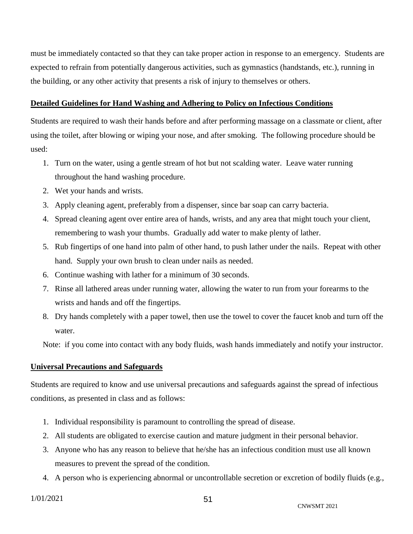must be immediately contacted so that they can take proper action in response to an emergency. Students are expected to refrain from potentially dangerous activities, such as gymnastics (handstands, etc.), running in the building, or any other activity that presents a risk of injury to themselves or others.

#### <span id="page-50-0"></span>**Detailed Guidelines for Hand Washing and Adhering to Policy on Infectious Conditions**

Students are required to wash their hands before and after performing massage on a classmate or client, after using the toilet, after blowing or wiping your nose, and after smoking. The following procedure should be used:

- 1. Turn on the water, using a gentle stream of hot but not scalding water. Leave water running throughout the hand washing procedure.
- 2. Wet your hands and wrists.
- 3. Apply cleaning agent, preferably from a dispenser, since bar soap can carry bacteria.
- 4. Spread cleaning agent over entire area of hands, wrists, and any area that might touch your client, remembering to wash your thumbs. Gradually add water to make plenty of lather.
- 5. Rub fingertips of one hand into palm of other hand, to push lather under the nails. Repeat with other hand. Supply your own brush to clean under nails as needed.
- 6. Continue washing with lather for a minimum of 30 seconds.
- 7. Rinse all lathered areas under running water, allowing the water to run from your forearms to the wrists and hands and off the fingertips.
- 8. Dry hands completely with a paper towel, then use the towel to cover the faucet knob and turn off the water.

Note: if you come into contact with any body fluids, wash hands immediately and notify your instructor.

#### <span id="page-50-1"></span>**Universal Precautions and Safeguards**

Students are required to know and use universal precautions and safeguards against the spread of infectious conditions, as presented in class and as follows:

- 1. Individual responsibility is paramount to controlling the spread of disease.
- 2. All students are obligated to exercise caution and mature judgment in their personal behavior.
- 3. Anyone who has any reason to believe that he/she has an infectious condition must use all known measures to prevent the spread of the condition.
- 4. A person who is experiencing abnormal or uncontrollable secretion or excretion of bodily fluids (e.g.,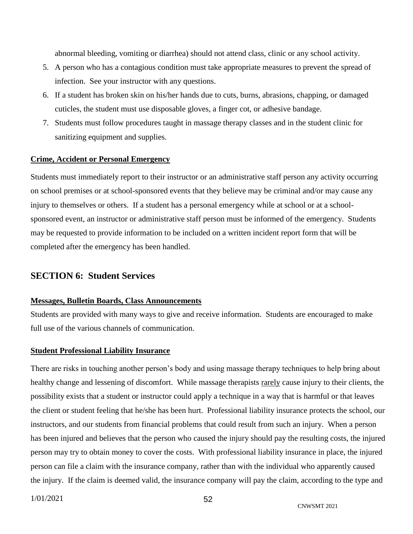abnormal bleeding, vomiting or diarrhea) should not attend class, clinic or any school activity.

- 5. A person who has a contagious condition must take appropriate measures to prevent the spread of infection. See your instructor with any questions.
- 6. If a student has broken skin on his/her hands due to cuts, burns, abrasions, chapping, or damaged cuticles, the student must use disposable gloves, a finger cot, or adhesive bandage.
- 7. Students must follow procedures taught in massage therapy classes and in the student clinic for sanitizing equipment and supplies.

#### <span id="page-51-0"></span>**Crime, Accident or Personal Emergency**

Students must immediately report to their instructor or an administrative staff person any activity occurring on school premises or at school-sponsored events that they believe may be criminal and/or may cause any injury to themselves or others. If a student has a personal emergency while at school or at a schoolsponsored event, an instructor or administrative staff person must be informed of the emergency. Students may be requested to provide information to be included on a written incident report form that will be completed after the emergency has been handled.

#### <span id="page-51-1"></span>**SECTION 6: Student Services**

#### <span id="page-51-2"></span>**Messages, Bulletin Boards, Class Announcements**

Students are provided with many ways to give and receive information. Students are encouraged to make full use of the various channels of communication.

#### <span id="page-51-3"></span>**Student Professional Liability Insurance**

There are risks in touching another person's body and using massage therapy techniques to help bring about healthy change and lessening of discomfort. While massage therapists rarely cause injury to their clients, the possibility exists that a student or instructor could apply a technique in a way that is harmful or that leaves the client or student feeling that he/she has been hurt. Professional liability insurance protects the school, our instructors, and our students from financial problems that could result from such an injury. When a person has been injured and believes that the person who caused the injury should pay the resulting costs, the injured person may try to obtain money to cover the costs. With professional liability insurance in place, the injured person can file a claim with the insurance company, rather than with the individual who apparently caused the injury. If the claim is deemed valid, the insurance company will pay the claim, according to the type and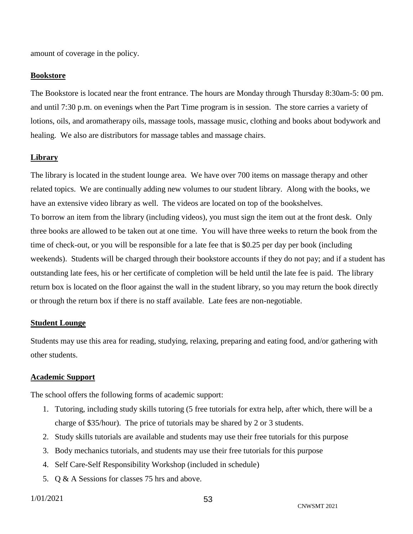amount of coverage in the policy.

#### <span id="page-52-0"></span>**Bookstore**

The Bookstore is located near the front entrance. The hours are Monday through Thursday 8:30am-5: 00 pm. and until 7:30 p.m. on evenings when the Part Time program is in session. The store carries a variety of lotions, oils, and aromatherapy oils, massage tools, massage music, clothing and books about bodywork and healing. We also are distributors for massage tables and massage chairs.

#### <span id="page-52-1"></span>**Library**

The library is located in the student lounge area. We have over 700 items on massage therapy and other related topics. We are continually adding new volumes to our student library. Along with the books, we have an extensive video library as well. The videos are located on top of the bookshelves. To borrow an item from the library (including videos), you must sign the item out at the front desk. Only three books are allowed to be taken out at one time. You will have three weeks to return the book from the time of check-out, or you will be responsible for a late fee that is \$0.25 per day per book (including weekends). Students will be charged through their bookstore accounts if they do not pay; and if a student has outstanding late fees, his or her certificate of completion will be held until the late fee is paid. The library return box is located on the floor against the wall in the student library, so you may return the book directly or through the return box if there is no staff available. Late fees are non-negotiable.

#### <span id="page-52-2"></span>**Student Lounge**

Students may use this area for reading, studying, relaxing, preparing and eating food, and/or gathering with other students.

#### <span id="page-52-3"></span>**Academic Support**

The school offers the following forms of academic support:

- 1. Tutoring, including study skills tutoring (5 free tutorials for extra help, after which, there will be a charge of \$35/hour). The price of tutorials may be shared by 2 or 3 students.
- 2. Study skills tutorials are available and students may use their free tutorials for this purpose
- 3. Body mechanics tutorials, and students may use their free tutorials for this purpose
- 4. Self Care-Self Responsibility Workshop (included in schedule)
- 5. Q & A Sessions for classes 75 hrs and above.

1/01/2021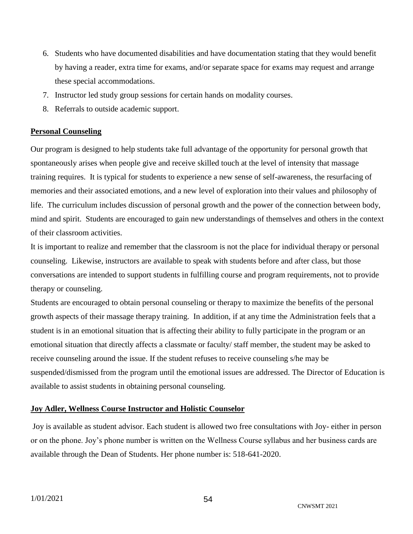- 6. Students who have documented disabilities and have documentation stating that they would benefit by having a reader, extra time for exams, and/or separate space for exams may request and arrange these special accommodations.
- 7. Instructor led study group sessions for certain hands on modality courses.
- 8. Referrals to outside academic support.

#### <span id="page-53-0"></span>**Personal Counseling**

Our program is designed to help students take full advantage of the opportunity for personal growth that spontaneously arises when people give and receive skilled touch at the level of intensity that massage training requires. It is typical for students to experience a new sense of self-awareness, the resurfacing of memories and their associated emotions, and a new level of exploration into their values and philosophy of life. The curriculum includes discussion of personal growth and the power of the connection between body, mind and spirit. Students are encouraged to gain new understandings of themselves and others in the context of their classroom activities.

It is important to realize and remember that the classroom is not the place for individual therapy or personal counseling. Likewise, instructors are available to speak with students before and after class, but those conversations are intended to support students in fulfilling course and program requirements, not to provide therapy or counseling.

Students are encouraged to obtain personal counseling or therapy to maximize the benefits of the personal growth aspects of their massage therapy training. In addition, if at any time the Administration feels that a student is in an emotional situation that is affecting their ability to fully participate in the program or an emotional situation that directly affects a classmate or faculty/ staff member, the student may be asked to receive counseling around the issue. If the student refuses to receive counseling s/he may be suspended/dismissed from the program until the emotional issues are addressed. The Director of Education is available to assist students in obtaining personal counseling.

#### <span id="page-53-1"></span>**Joy Adler, Wellness Course Instructor and Holistic Counselor**

Joy is available as student advisor. Each student is allowed two free consultations with Joy- either in person or on the phone. Joy's phone number is written on the Wellness Course syllabus and her business cards are available through the Dean of Students. Her phone number is: 518-641-2020.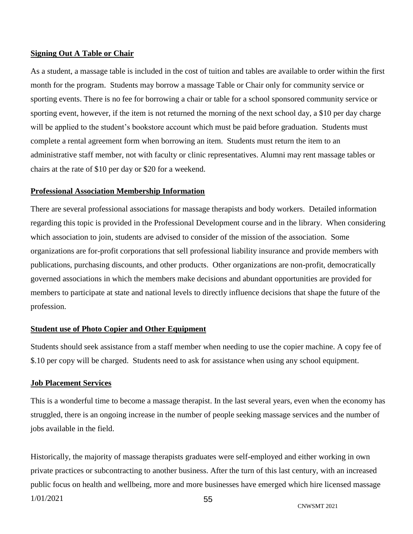#### <span id="page-54-0"></span>**Signing Out A Table or Chair**

As a student, a massage table is included in the cost of tuition and tables are available to order within the first month for the program. Students may borrow a massage Table or Chair only for community service or sporting events. There is no fee for borrowing a chair or table for a school sponsored community service or sporting event, however, if the item is not returned the morning of the next school day, a \$10 per day charge will be applied to the student's bookstore account which must be paid before graduation. Students must complete a rental agreement form when borrowing an item. Students must return the item to an administrative staff member, not with faculty or clinic representatives. Alumni may rent massage tables or chairs at the rate of \$10 per day or \$20 for a weekend.

#### <span id="page-54-1"></span>**Professional Association Membership Information**

There are several professional associations for massage therapists and body workers. Detailed information regarding this topic is provided in the Professional Development course and in the library. When considering which association to join, students are advised to consider of the mission of the association. Some organizations are for-profit corporations that sell professional liability insurance and provide members with publications, purchasing discounts, and other products. Other organizations are non-profit, democratically governed associations in which the members make decisions and abundant opportunities are provided for members to participate at state and national levels to directly influence decisions that shape the future of the profession.

#### <span id="page-54-2"></span>**Student use of Photo Copier and Other Equipment**

Students should seek assistance from a staff member when needing to use the copier machine. A copy fee of \$.10 per copy will be charged. Students need to ask for assistance when using any school equipment.

#### <span id="page-54-3"></span>**Job Placement Services**

This is a wonderful time to become a massage therapist. In the last several years, even when the economy has struggled, there is an ongoing increase in the number of people seeking massage services and the number of jobs available in the field.

1/01/2021 55 Historically, the majority of massage therapists graduates were self-employed and either working in own private practices or subcontracting to another business. After the turn of this last century, with an increased public focus on health and wellbeing, more and more businesses have emerged which hire licensed massage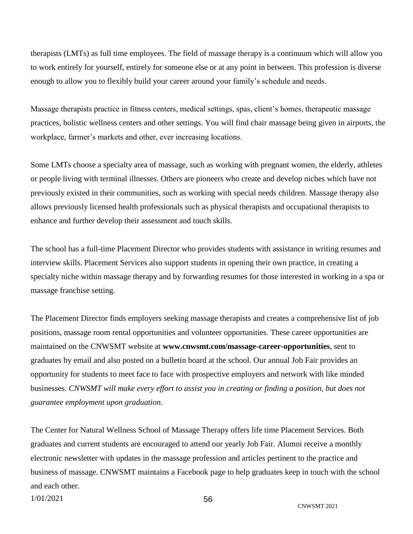therapists (LMTs) as full time employees. The field of massage therapy is a continuum which will allow you to work entirely for yourself, entirely for someone else or at any point in between. This profession is diverse enough to allow you to flexibly build your career around your family's schedule and needs.

Massage therapists practice in fitness centers, medical settings, spas, client's homes, therapeutic massage practices, holistic wellness centers and other settings. You will find chair massage being given in airports, the workplace, farmer's markets and other, ever increasing locations.

Some LMTs choose a specialty area of massage, such as working with pregnant women, the elderly, athletes or people living with terminal illnesses. Others are pioneers who create and develop niches which have not previously existed in their communities, such as working with special needs children. Massage therapy also allows previously licensed health professionals such as physical therapists and occupational therapists to enhance and further develop their assessment and touch skills.

The school has a full-time Placement Director who provides students with assistance in writing resumes and interview skills. Placement Services also support students in opening their own practice, in creating a specialty niche within massage therapy and by forwarding resumes for those interested in working in a spa or massage franchise setting.

The Placement Director finds employers seeking massage therapists and creates a comprehensive list of job positions, massage room rental opportunities and volunteer opportunities. These career opportunities are maintained on the CNWSMT website at **www.cnwsmt.com/massage-career-opportunities**, sent to graduates by email and also posted on a bulletin board at the school. Our annual Job Fair provides an opportunity for students to meet face to face with prospective employers and network with like minded businesses. *CNWSMT will make every effort to assist you in creating or finding a position, but does not guarantee employment upon graduation.* 

The Center for Natural Wellness School of Massage Therapy offers life time Placement Services. Both graduates and current students are encouraged to attend our yearly Job Fair. Alumni receive a monthly electronic newsletter with updates in the massage profession and articles pertinent to the practice and business of massage. CNWSMT maintains a Facebook page to help graduates keep in touch with the school and each other.

1/01/2021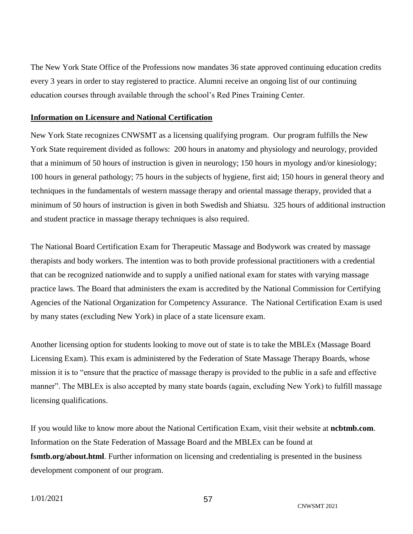The New York State Office of the Professions now mandates 36 state approved continuing education credits every 3 years in order to stay registered to practice. Alumni receive an ongoing list of our continuing education courses through available through the school's Red Pines Training Center.

#### <span id="page-56-0"></span>**Information on Licensure and National Certification**

New York State recognizes CNWSMT as a licensing qualifying program. Our program fulfills the New York State requirement divided as follows: 200 hours in anatomy and physiology and neurology, provided that a minimum of 50 hours of instruction is given in neurology; 150 hours in myology and/or kinesiology; 100 hours in general pathology; 75 hours in the subjects of hygiene, first aid; 150 hours in general theory and techniques in the fundamentals of western massage therapy and oriental massage therapy, provided that a minimum of 50 hours of instruction is given in both Swedish and Shiatsu. 325 hours of additional instruction and student practice in massage therapy techniques is also required.

The National Board Certification Exam for Therapeutic Massage and Bodywork was created by massage therapists and body workers. The intention was to both provide professional practitioners with a credential that can be recognized nationwide and to supply a unified national exam for states with varying massage practice laws. The Board that administers the exam is accredited by the National Commission for Certifying Agencies of the National Organization for Competency Assurance. The National Certification Exam is used by many states (excluding New York) in place of a state licensure exam.

Another licensing option for students looking to move out of state is to take the MBLEx (Massage Board Licensing Exam). This exam is administered by the Federation of State Massage Therapy Boards, whose mission it is to "ensure that the practice of massage therapy is provided to the public in a safe and effective manner". The MBLEx is also accepted by many state boards (again, excluding New York) to fulfill massage licensing qualifications.

If you would like to know more about the National Certification Exam, visit their website at **ncbtmb.com**. Information on the State Federation of Massage Board and the MBLEx can be found at **[fsmtb.org/about.html](http://www.fsmtb.org/about.html)**. Further information on licensing and credentialing is presented in the business development component of our program.

CNWSMT 2021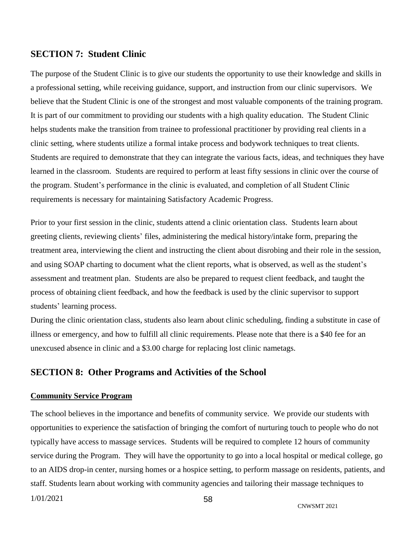#### <span id="page-57-0"></span>**SECTION 7: Student Clinic**

The purpose of the Student Clinic is to give our students the opportunity to use their knowledge and skills in a professional setting, while receiving guidance, support, and instruction from our clinic supervisors. We believe that the Student Clinic is one of the strongest and most valuable components of the training program. It is part of our commitment to providing our students with a high quality education. The Student Clinic helps students make the transition from trainee to professional practitioner by providing real clients in a clinic setting, where students utilize a formal intake process and bodywork techniques to treat clients. Students are required to demonstrate that they can integrate the various facts, ideas, and techniques they have learned in the classroom. Students are required to perform at least fifty sessions in clinic over the course of the program. Student's performance in the clinic is evaluated, and completion of all Student Clinic requirements is necessary for maintaining Satisfactory Academic Progress.

Prior to your first session in the clinic, students attend a clinic orientation class. Students learn about greeting clients, reviewing clients' files, administering the medical history/intake form, preparing the treatment area, interviewing the client and instructing the client about disrobing and their role in the session, and using SOAP charting to document what the client reports, what is observed, as well as the student's assessment and treatment plan. Students are also be prepared to request client feedback, and taught the process of obtaining client feedback, and how the feedback is used by the clinic supervisor to support students' learning process.

During the clinic orientation class, students also learn about clinic scheduling, finding a substitute in case of illness or emergency, and how to fulfill all clinic requirements. Please note that there is a \$40 fee for an unexcused absence in clinic and a \$3.00 charge for replacing lost clinic nametags.

#### <span id="page-57-1"></span>**SECTION 8: Other Programs and Activities of the School**

#### <span id="page-57-2"></span>**Community Service Program**

The school believes in the importance and benefits of community service. We provide our students with opportunities to experience the satisfaction of bringing the comfort of nurturing touch to people who do not typically have access to massage services. Students will be required to complete 12 hours of community service during the Program. They will have the opportunity to go into a local hospital or medical college, go to an AIDS drop-in center, nursing homes or a hospice setting, to perform massage on residents, patients, and staff. Students learn about working with community agencies and tailoring their massage techniques to

```
1/01/2021
```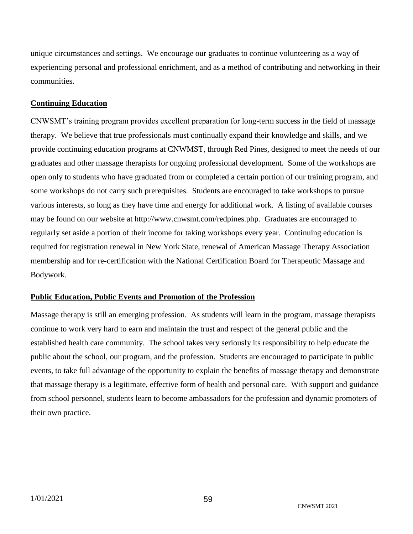unique circumstances and settings. We encourage our graduates to continue volunteering as a way of experiencing personal and professional enrichment, and as a method of contributing and networking in their communities.

#### <span id="page-58-0"></span>**Continuing Education**

CNWSMT's training program provides excellent preparation for long-term success in the field of massage therapy. We believe that true professionals must continually expand their knowledge and skills, and we provide continuing education programs at CNWMST, through Red Pines, designed to meet the needs of our graduates and other massage therapists for ongoing professional development. Some of the workshops are open only to students who have graduated from or completed a certain portion of our training program, and some workshops do not carry such prerequisites. Students are encouraged to take workshops to pursue various interests, so long as they have time and energy for additional work. A listing of available courses may be found on our website at http://www.cnwsmt.com/redpines.php. Graduates are encouraged to regularly set aside a portion of their income for taking workshops every year. Continuing education is required for registration renewal in New York State, renewal of American Massage Therapy Association membership and for re-certification with the National Certification Board for Therapeutic Massage and Bodywork.

#### <span id="page-58-1"></span>**Public Education, Public Events and Promotion of the Profession**

Massage therapy is still an emerging profession. As students will learn in the program, massage therapists continue to work very hard to earn and maintain the trust and respect of the general public and the established health care community. The school takes very seriously its responsibility to help educate the public about the school, our program, and the profession. Students are encouraged to participate in public events, to take full advantage of the opportunity to explain the benefits of massage therapy and demonstrate that massage therapy is a legitimate, effective form of health and personal care. With support and guidance from school personnel, students learn to become ambassadors for the profession and dynamic promoters of their own practice.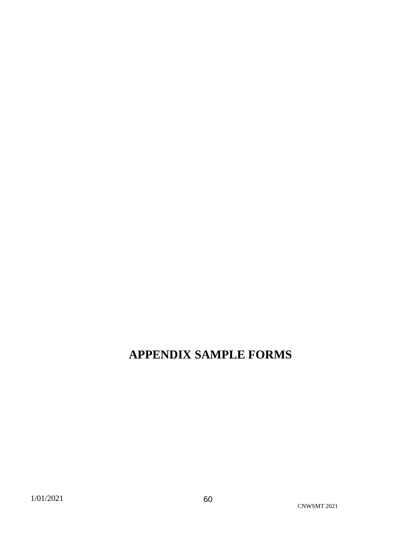## <span id="page-59-0"></span>**APPENDIX SAMPLE FORMS**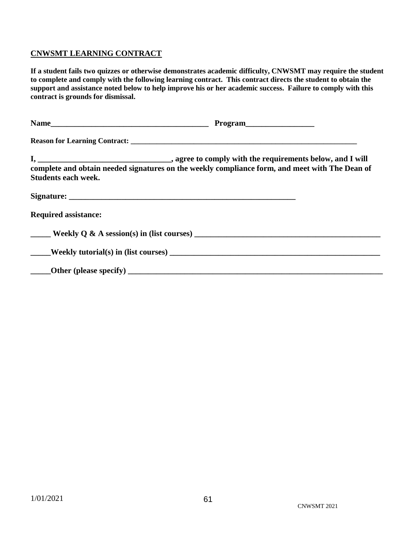#### <span id="page-60-0"></span>**CNWSMT LEARNING CONTRACT**

**If a student fails two quizzes or otherwise demonstrates academic difficulty, CNWSMT may require the student to complete and comply with the following learning contract. This contract directs the student to obtain the support and assistance noted below to help improve his or her academic success. Failure to comply with this contract is grounds for dismissal.**

| complete and obtain needed signatures on the weekly compliance form, and meet with The Dean of<br><b>Students each week.</b>                                                                                                           |  |
|----------------------------------------------------------------------------------------------------------------------------------------------------------------------------------------------------------------------------------------|--|
|                                                                                                                                                                                                                                        |  |
| <b>Required assistance:</b>                                                                                                                                                                                                            |  |
|                                                                                                                                                                                                                                        |  |
| Weekly tutorial(s) in (list courses)<br><u>Lateral contract of the substantial contract of the substantial contract of the substantial contract of the substantial contract of the substantial contract of the substantial contrac</u> |  |
|                                                                                                                                                                                                                                        |  |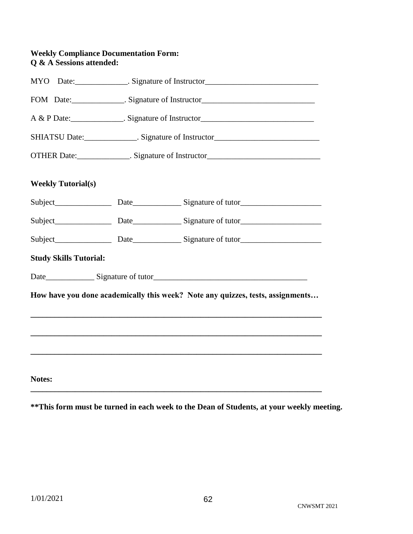#### **Weekly Compliance Documentation Form: Q & A Sessions attended:**

|                               | MYO Date: _______________. Signature of Instructor______________________________  |                                                                                |  |
|-------------------------------|-----------------------------------------------------------------------------------|--------------------------------------------------------------------------------|--|
|                               | FOM Date: _______________. Signature of Instructor______________________________  |                                                                                |  |
|                               | A & P Date: ________________. Signature of Instructor____________________________ |                                                                                |  |
|                               | SHIATSU Date: Signature of Instructor                                             |                                                                                |  |
|                               | OTHER Date: _______________. Signature of Instructor____________________________  |                                                                                |  |
| <b>Weekly Tutorial(s)</b>     |                                                                                   |                                                                                |  |
|                               |                                                                                   |                                                                                |  |
|                               |                                                                                   |                                                                                |  |
|                               |                                                                                   |                                                                                |  |
| <b>Study Skills Tutorial:</b> |                                                                                   |                                                                                |  |
|                               |                                                                                   |                                                                                |  |
|                               |                                                                                   | How have you done academically this week? Note any quizzes, tests, assignments |  |
|                               |                                                                                   |                                                                                |  |
|                               |                                                                                   |                                                                                |  |
|                               |                                                                                   |                                                                                |  |
| Notes:                        |                                                                                   |                                                                                |  |

**\*\*This form must be turned in each week to the Dean of Students, at your weekly meeting.**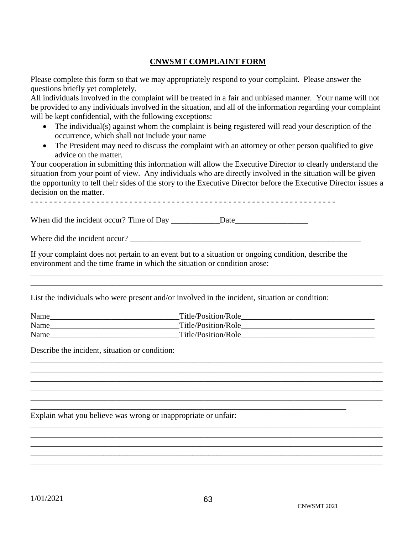#### **CNWSMT COMPLAINT FORM**

<span id="page-62-0"></span>Please complete this form so that we may appropriately respond to your complaint. Please answer the questions briefly yet completely.

All individuals involved in the complaint will be treated in a fair and unbiased manner. Your name will not be provided to any individuals involved in the situation, and all of the information regarding your complaint will be kept confidential, with the following exceptions:

- The individual(s) against whom the complaint is being registered will read your description of the occurrence, which shall not include your name
- The President may need to discuss the complaint with an attorney or other person qualified to give advice on the matter.

Your cooperation in submitting this information will allow the Executive Director to clearly understand the situation from your point of view. Any individuals who are directly involved in the situation will be given the opportunity to tell their sides of the story to the Executive Director before the Executive Director issues a decision on the matter.

When did the incident occur? Time of Day \_\_\_\_\_\_\_\_\_\_\_\_Date\_\_\_\_\_\_\_\_\_\_\_\_\_\_\_\_\_\_

Where did the incident occur?

If your complaint does not pertain to an event but to a situation or ongoing condition, describe the environment and the time frame in which the situation or condition arose:

List the individuals who were present and/or involved in the incident, situation or condition:

| Name | Title/Position/Role |
|------|---------------------|
| Name | Title/Position/Role |
| Name | Title/Position/Role |

\_\_\_\_\_\_\_\_\_\_\_\_\_\_\_\_\_\_\_\_\_\_\_\_\_\_\_\_\_\_\_\_\_\_\_\_\_\_\_\_\_\_\_\_\_\_\_\_\_\_\_\_\_\_\_\_\_\_\_\_\_\_\_\_\_\_\_\_\_\_\_\_\_\_\_\_\_\_\_\_\_\_\_\_\_\_\_ \_\_\_\_\_\_\_\_\_\_\_\_\_\_\_\_\_\_\_\_\_\_\_\_\_\_\_\_\_\_\_\_\_\_\_\_\_\_\_\_\_\_\_\_\_\_\_\_\_\_\_\_\_\_\_\_\_\_\_\_\_\_\_\_\_\_\_\_\_\_\_\_\_\_\_\_\_\_\_\_\_\_\_\_\_\_\_ \_\_\_\_\_\_\_\_\_\_\_\_\_\_\_\_\_\_\_\_\_\_\_\_\_\_\_\_\_\_\_\_\_\_\_\_\_\_\_\_\_\_\_\_\_\_\_\_\_\_\_\_\_\_\_\_\_\_\_\_\_\_\_\_\_\_\_\_\_\_\_\_\_\_\_\_\_\_\_\_\_\_\_\_\_\_\_ \_\_\_\_\_\_\_\_\_\_\_\_\_\_\_\_\_\_\_\_\_\_\_\_\_\_\_\_\_\_\_\_\_\_\_\_\_\_\_\_\_\_\_\_\_\_\_\_\_\_\_\_\_\_\_\_\_\_\_\_\_\_\_\_\_\_\_\_\_\_\_\_\_\_\_\_\_\_\_\_\_\_\_\_\_\_\_ \_\_\_\_\_\_\_\_\_\_\_\_\_\_\_\_\_\_\_\_\_\_\_\_\_\_\_\_\_\_\_\_\_\_\_\_\_\_\_\_\_\_\_\_\_\_\_\_\_\_\_\_\_\_\_\_\_\_\_\_\_\_\_\_\_\_\_\_\_\_\_\_\_\_\_\_\_\_\_\_\_\_\_\_\_\_\_

\_\_\_\_\_\_\_\_\_\_\_\_\_\_\_\_\_\_\_\_\_\_\_\_\_\_\_\_\_\_\_\_\_\_\_\_\_\_\_\_\_\_\_\_\_\_\_\_\_\_\_\_\_\_\_\_\_\_\_\_\_\_\_\_\_\_\_\_\_\_\_\_\_\_\_\_\_\_\_\_\_\_\_\_\_\_\_ \_\_\_\_\_\_\_\_\_\_\_\_\_\_\_\_\_\_\_\_\_\_\_\_\_\_\_\_\_\_\_\_\_\_\_\_\_\_\_\_\_\_\_\_\_\_\_\_\_\_\_\_\_\_\_\_\_\_\_\_\_\_\_\_\_\_\_\_\_\_\_\_\_\_\_\_\_\_\_\_\_\_\_\_\_\_\_ \_\_\_\_\_\_\_\_\_\_\_\_\_\_\_\_\_\_\_\_\_\_\_\_\_\_\_\_\_\_\_\_\_\_\_\_\_\_\_\_\_\_\_\_\_\_\_\_\_\_\_\_\_\_\_\_\_\_\_\_\_\_\_\_\_\_\_\_\_\_\_\_\_\_\_\_\_\_\_\_\_\_\_\_\_\_\_ \_\_\_\_\_\_\_\_\_\_\_\_\_\_\_\_\_\_\_\_\_\_\_\_\_\_\_\_\_\_\_\_\_\_\_\_\_\_\_\_\_\_\_\_\_\_\_\_\_\_\_\_\_\_\_\_\_\_\_\_\_\_\_\_\_\_\_\_\_\_\_\_\_\_\_\_\_\_\_\_\_\_\_\_\_\_\_ \_\_\_\_\_\_\_\_\_\_\_\_\_\_\_\_\_\_\_\_\_\_\_\_\_\_\_\_\_\_\_\_\_\_\_\_\_\_\_\_\_\_\_\_\_\_\_\_\_\_\_\_\_\_\_\_\_\_\_\_\_\_\_\_\_\_\_\_\_\_\_\_\_\_\_\_\_\_\_\_\_\_\_\_\_\_\_

\_\_\_\_\_\_\_\_\_\_\_\_\_\_\_\_\_\_\_\_\_\_\_\_\_\_\_\_\_\_\_\_\_\_\_\_\_\_\_\_\_\_\_\_\_\_\_\_\_\_\_\_\_\_\_\_\_\_\_\_\_\_\_\_\_\_\_\_\_\_\_\_\_\_\_\_\_\_

\_\_\_\_\_\_\_\_\_\_\_\_\_\_\_\_\_\_\_\_\_\_\_\_\_\_\_\_\_\_\_\_\_\_\_\_\_\_\_\_\_\_\_\_\_\_\_\_\_\_\_\_\_\_\_\_\_\_\_\_\_\_\_\_\_\_\_\_\_\_\_\_\_\_\_\_\_\_\_\_\_\_\_\_\_\_\_ \_\_\_\_\_\_\_\_\_\_\_\_\_\_\_\_\_\_\_\_\_\_\_\_\_\_\_\_\_\_\_\_\_\_\_\_\_\_\_\_\_\_\_\_\_\_\_\_\_\_\_\_\_\_\_\_\_\_\_\_\_\_\_\_\_\_\_\_\_\_\_\_\_\_\_\_\_\_\_\_\_\_\_\_\_\_\_

Describe the incident, situation or condition:

Explain what you believe was wrong or inappropriate or unfair: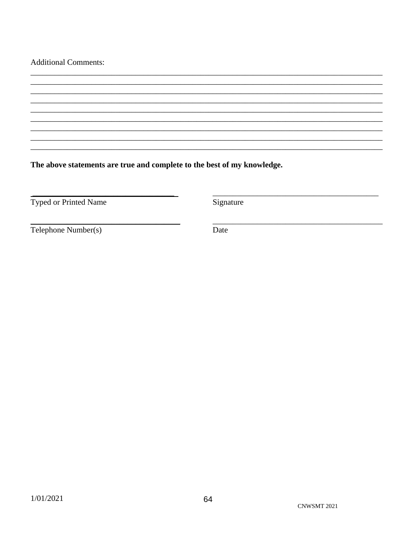#### **Additional Comments:**

The above statements are true and complete to the best of my knowledge.

Typed or Printed Name

Signature

Telephone Number(s)

Date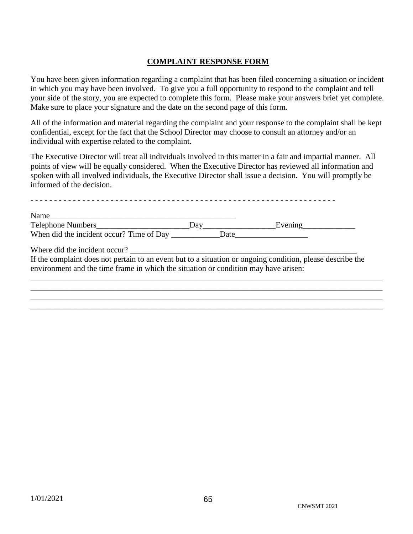#### **COMPLAINT RESPONSE FORM**

<span id="page-64-0"></span>You have been given information regarding a complaint that has been filed concerning a situation or incident in which you may have been involved. To give you a full opportunity to respond to the complaint and tell your side of the story, you are expected to complete this form. Please make your answers brief yet complete. Make sure to place your signature and the date on the second page of this form.

All of the information and material regarding the complaint and your response to the complaint shall be kept confidential, except for the fact that the School Director may choose to consult an attorney and/or an individual with expertise related to the complaint.

The Executive Director will treat all individuals involved in this matter in a fair and impartial manner. All points of view will be equally considered. When the Executive Director has reviewed all information and spoken with all involved individuals, the Executive Director shall issue a decision. You will promptly be informed of the decision.

| Name                                                                                                                                                                                              | Evening<br><u>Evening</u> |  |
|---------------------------------------------------------------------------------------------------------------------------------------------------------------------------------------------------|---------------------------|--|
|                                                                                                                                                                                                   |                           |  |
|                                                                                                                                                                                                   |                           |  |
| If the complaint does not pertain to an event but to a situation or ongoing condition, please describe the<br>environment and the time frame in which the situation or condition may have arisen: |                           |  |
|                                                                                                                                                                                                   |                           |  |
|                                                                                                                                                                                                   |                           |  |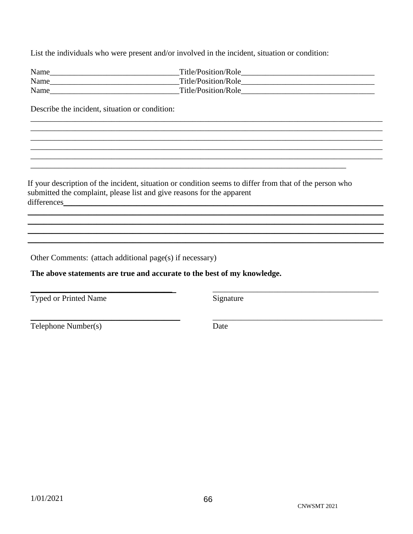List the individuals who were present and/or involved in the incident, situation or condition:

| Name | Title/Position/Role |
|------|---------------------|
| Name | Title/Position/Role |
| Name | Title/Position/Role |

Describe the incident, situation or condition:

If your description of the incident, situation or condition seems to differ from that of the person who submitted the complaint, please list and give reasons for the apparent differences\_\_\_\_\_\_\_\_

Other Comments: (attach additional page(s) if necessary)

The above statements are true and accurate to the best of my knowledge.

Typed or Printed Name

Signature

Telephone Number(s)

Date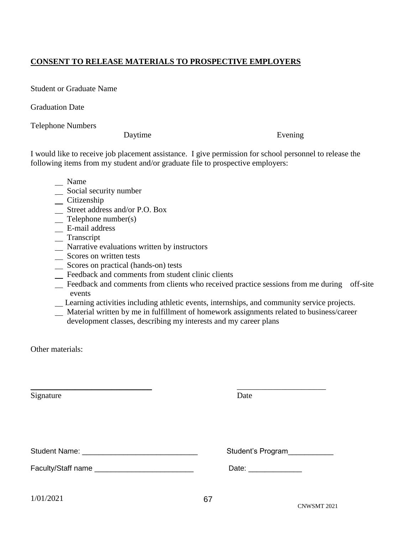#### <span id="page-66-0"></span>**CONSENT TO RELEASE MATERIALS TO PROSPECTIVE EMPLOYERS**

Student or Graduate Name

Graduation Date

Telephone Numbers

Daytime Evening

I would like to receive job placement assistance. I give permission for school personnel to release the following items from my student and/or graduate file to prospective employers:

- \_ Name
- Social security number
- $Citizenship$
- Street address and/or P.O. Box
- Telephone number(s)
- E-mail address
- \_ Transcript
- Narrative evaluations written by instructors
- \_ Scores on written tests
- Scores on practical (hands-on) tests
- Feedback and comments from student clinic clients
- Feedback and comments from clients who received practice sessions from me during off-site events
- Learning activities including athletic events, internships, and community service projects.
- \_ Material written by me in fulfillment of homework assignments related to business/career development classes, describing my interests and my career plans

Other materials:

| Signature                                     | Date                 |
|-----------------------------------------------|----------------------|
| Student Name: ______________________________  | Student's Program    |
| Faculty/Staff name __________________________ | Date: ______________ |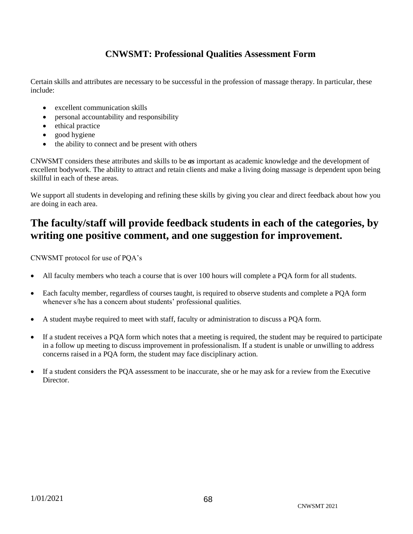## **CNWSMT: Professional Qualities Assessment Form**

<span id="page-67-0"></span>Certain skills and attributes are necessary to be successful in the profession of massage therapy. In particular, these include:

- excellent communication skills
- personal accountability and responsibility
- ethical practice
- good hygiene
- the ability to connect and be present with others

CNWSMT considers these attributes and skills to be *as* important as academic knowledge and the development of excellent bodywork. The ability to attract and retain clients and make a living doing massage is dependent upon being skillful in each of these areas.

We support all students in developing and refining these skills by giving you clear and direct feedback about how you are doing in each area.

## **The faculty/staff will provide feedback students in each of the categories, by writing one positive comment, and one suggestion for improvement.**

CNWSMT protocol for use of PQA's

- All faculty members who teach a course that is over 100 hours will complete a PQA form for all students.
- Each faculty member, regardless of courses taught, is required to observe students and complete a PQA form whenever s/he has a concern about students' professional qualities.
- A student maybe required to meet with staff, faculty or administration to discuss a PQA form.
- If a student receives a PQA form which notes that a meeting is required, the student may be required to participate in a follow up meeting to discuss improvement in professionalism. If a student is unable or unwilling to address concerns raised in a PQA form, the student may face disciplinary action.
- If a student considers the PQA assessment to be inaccurate, she or he may ask for a review from the Executive Director.